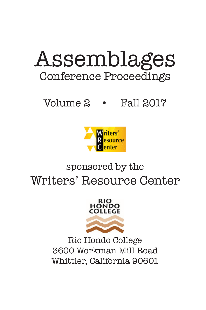# Assemblages Conference Proceedings

# Volume 2 • Fall 2017



# sponsored by the Writers' Resource Center



Rio Hondo College 3600 Workman Mill Road Whittier, California 90601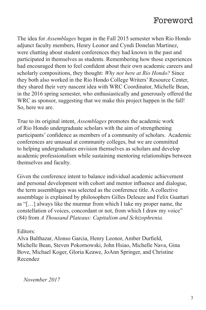## Foreword

The idea for *Assemblages* began in the Fall 2015 semester when Rio Hondo adjunct faculty members, Henry Leonor and Cyndi Donelan Martinez, were chatting about student conferences they had known in the past and participated in themselves as students. Remembering how those experiences had encouraged them to feel confident about their own academic careers and scholarly compositions, they thought: *Why not here at Rio Hondo?* Since they both also worked in the Rio Hondo College Writers' Resource Center, they shared their very nascent idea with WRC Coordinator, Michelle Bean, in the 2016 spring semester, who enthusiastically and generously offered the WRC as sponsor, suggesting that we make this project happen in the fall! So, here we are.

True to its original intent, *Assemblages* promotes the academic work of Rio Hondo undergraduate scholars with the aim of strengthening participants' confidence as members of a community of scholars. Academic conferences are unusual at community colleges, but we are committed to helping undergraduates envision themselves as scholars and develop academic professionalism while sustaining mentoring relationships between themselves and faculty.

Given the conference intent to balance individual academic achievement and personal development with cohort and mentor influence and dialogue, the term assemblages was selected as the conference title. A collective assemblage is explained by philosophers Gilles Deleuze and Felix Guattari as "[…] always like the murmur from which I take my proper name, the constellation of voices, concordant or not, from which I draw my voice" (84) from *A Thousand Plateaus: Capitalism and Schizophrenia.* 

#### Editors:

Alva Balthazar, Alonso Garcia, Henry Leonor, Amber Durfield, Michelle Bean, Steven Pokornowski, John Hsiao, Michelle Nava, Gina Bove, Michael Koger, Gloria Keawe, JoAnn Springer, and Christine Recendez

*November 2017*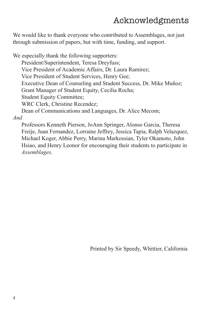# Acknowledgments

We would like to thank everyone who contributed to Assemblages, not just through submission of papers, but with time, funding, and support.

We especially thank the following supporters: President/Superintendent, Teresa Dreyfuss; Vice President of Academic Affairs, Dr. Laura Ramirez; Vice President of Student Services, Henry Gee; Executive Dean of Counseling and Student Success, Dr. Mike Muñoz; Grant Manager of Student Equity, Cecilia Rocha; Student Equity Committee; WRC Clerk, Christine Recendez; Dean of Communications and Languages, Dr. Alice Mecom; *And* 

Professors Kenneth Pierson, JoAnn Springer, Alonso Garcia, Theresa Freije, Juan Fernandez, Lorraine Jeffrey, Jessica Tapia, Ralph Velazquez, Michael Koger, Abbie Perry, Marina Markossian, Tyler Okamoto, John Hsiao, and Henry Leonor for encouraging their students to participate in *Assemblages*.

Printed by Sir Speedy, Whittier, California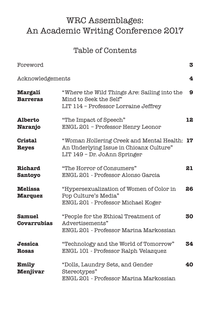# WRC Assemblages: An Academic Writing Conference 2017

### Table of Contents

| Foreword                            |                                                                                                                         | 3  |
|-------------------------------------|-------------------------------------------------------------------------------------------------------------------------|----|
| Acknowledgements                    |                                                                                                                         | 4  |
| <b>Margali</b><br><b>Barreras</b>   | "Where the Wild Things Are: Sailing into the<br>Mind to Seek the Self"<br>LIT 114 - Professor Lorraine Jeffrey          | 9  |
| <b>Alberto</b><br><b>Naranjo</b>    | "The Impact of Speech"<br>ENGL 201 - Professor Henry Leonor                                                             | 12 |
| <b>Cristal</b><br><b>Reyes</b>      | "Woman Hollering Creek and Mental Health: 17<br>An Underlying Issue in Chicanx Culture"<br>LIT 149 - Dr. JoAnn Springer |    |
| <b>Richard</b><br><b>Santoyo</b>    | "The Horror of Consumers"<br>ENGL 201 - Professor Alonso Garcia                                                         | 21 |
| <b>Melissa</b><br><b>Marquez</b>    | "Hypersexualization of Women of Color in<br>Pop Culture's Media"<br>ENGL 201 - Professor Michael Koger                  | 26 |
| <b>Samuel</b><br><b>Covarrubias</b> | "People for the Ethical Treatment of<br>Advertisements"<br>ENGL 201 - Professor Marina Markossian                       | 30 |
| <b>Jessica</b><br><b>Rosas</b>      | "Technology and the World of Tomorrow"<br>ENGL 101 - Professor Ralph Velazquez                                          | 34 |
| Emily<br><b>Menjivar</b>            | "Dolls, Laundry Sets, and Gender<br>Stereotypes"<br>ENGL 201 - Professor Marina Markossian                              | 40 |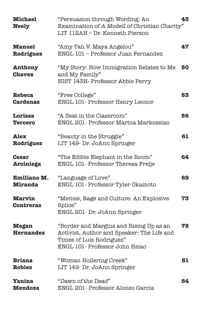| <b>Michael</b><br><b>Neely</b>       | "Persuasion through Wording: An<br>Examination of A Modell of Christian Charity"<br>LIT 112AH - Dr. Kenneth Pierson                                 | 43 |
|--------------------------------------|-----------------------------------------------------------------------------------------------------------------------------------------------------|----|
| <b>Manuel</b><br>Rodriguez           | "Amy Tan V. Maya Angelou"<br>ENGL 101 - Professor Juan Fernandez                                                                                    | 47 |
| Anthony<br><b>Chavez</b>             | "My Story: How Immigration Relates to Me<br>and My Family"<br>HIST 143H- Professor Abbie Perry                                                      | 50 |
| <b>Rebeca</b><br><b>Cardenas</b>     | "Free College"<br>ENGL 101- Professor Henry Leonor                                                                                                  | 53 |
| Lorissa<br><b>Tercero</b>            | "A Seat in the Classroom"<br>ENGL 201 - Professor Marina Markossian                                                                                 | 56 |
| Alex<br>Rodriguez                    | "Beauty in the Struggle"<br>LIT 149- Dr. JoAnn Springer                                                                                             | 61 |
| <b>Cesar</b><br>Arciniega            | "The Edible Elephant in the Room"<br>ENGL 101- Professor Theresa Freije                                                                             | 64 |
| <b>Emiliano M.</b><br><b>Miranda</b> | "Language of Love"<br>ENGL 101- Professor Tyler Okamoto                                                                                             | 69 |
| <b>Marvin</b><br><b>Contreras</b>    | "Memes, Rage and Culture: An Explosive<br>Splice"<br>ENGL 201- Dr. JoAnn Springer                                                                   | 73 |
| <b>Megan</b><br>Hernandez            | "Border and Margins and Rising Up as an<br>Activist, Author and Speaker: The Life and<br>Times of Luis Rodriguez"<br>ENGL 101- Professor John Hsiao | 78 |
| <b>Briana</b><br><b>Robles</b>       | "Woman Hollering Creek"<br>LIT 149- Dr. JoAnn Springer                                                                                              | 81 |
| Yanina<br><b>Mendoza</b>             | "Dawn of the Dead"<br>ENGL 201- Professor Alonso Garcia                                                                                             | 84 |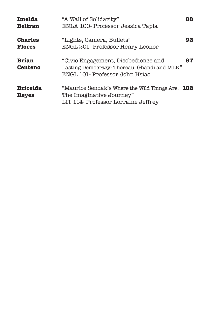| Imelda<br><b>Beltran</b>        | "A Wall of Solidarity"<br>ENLA 100- Professor Jessica Tapia                                                           | 88  |
|---------------------------------|-----------------------------------------------------------------------------------------------------------------------|-----|
| <b>Charles</b><br><b>Flores</b> | "Lights, Camera, Bullets"<br>ENGL 201 - Professor Henry Leonor                                                        | 92  |
| <b>Brian</b><br><b>Centeno</b>  | "Civic Engagement, Disobedience and<br>Lasting Democracy: Thoreau, Ghandi and MLK"<br>ENGL 101 - Professor John Hsiao | 97  |
| <b>Briceida</b><br><b>Reyes</b> | "Maurice Sendak's Where the Wild Things Are:<br>The Imaginative Journey"<br>LIT 114- Professor Lorraine Jeffrey       | 102 |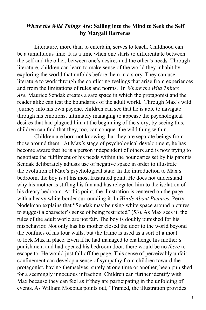#### *Where the Wild Things Are***: Sailing into the Mind to Seek the Self by Margalí Barreras**

Literature, more than to entertain, serves to teach. Childhood can be a tumultuous time. It is a time when one starts to differentiate between the self and the other, between one's desires and the other's needs. Through literature, children can learn to make sense of the world they inhabit by exploring the world that unfolds before them in a story. They can use literature to work through the conflicting feelings that arise from experiences and from the limitations of rules and norms. In *Where the Wild Things Are*, Maurice Sendak creates a safe space in which the protagonist and the reader alike can test the boundaries of the adult world. Through Max's wild journey into his own psyche, children can see that he is able to navigate through his emotions, ultimately managing to appease the psychological desires that had plagued him at the beginning of the story; by seeing this, children can find that they, too, can conquer the wild thing within.

Children are born not knowing that they are separate beings from those around them. At Max's stage of psychological development, he has become aware that he is a person independent of others and is now trying to negotiate the fulfilment of his needs within the boundaries set by his parents. Sendak deliberately adjusts use of negative space in order to illustrate the evolution of Max's psychological state. In the introduction to Max's bedroom, the boy is at his most frustrated point. He does not understand why his mother is stifling his fun and has relegated him to the isolation of his dreary bedroom. At this point, the illustration is centered on the page with a heavy white border surrounding it. In *Words About Pictures*, Perry Nodelman explains that "Sendak may be using white space around pictures to suggest a character's sense of being restricted" (53). As Max sees it, the rules of the adult world are not fair. The boy is doubly punished for his misbehavior. Not only has his mother closed the door to the world beyond the confines of his four walls, but the frame is used as a sort of a moat to lock Max in place. Even if he had managed to challenge his mother's punishment and had opened his bedroom door, there would be no *there* to escape to. He would just fall off the page. This sense of perceivably unfair confinement can develop a sense of sympathy from children toward the protagonist, having themselves, surely at one time or another, been punished for a seemingly innocuous infraction. Children can further identify with Max because they can feel as if they are participating in the unfolding of events. As William Moebius points out, "Framed, the illustration provides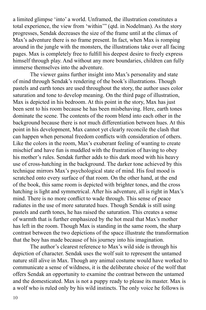a limited glimpse 'into' a world. Unframed, the illustration constitutes a total experience, the view from 'within'" (qtd. in Nodelman). As the story progresses, Sendak decreases the size of the frame until at the climax of Max's adventure there is no frame present. In fact, when Max is romping around in the jungle with the monsters, the illustrations take over all facing pages. Max is completely free to fulfill his deepest desire to freely express himself through play. And without any more boundaries, children can fully immerse themselves into the adventure.

The viewer gains further insight into Max's personality and state of mind through Sendak's rendering of the book's illustrations. Though pastels and earth tones are used throughout the story, the author uses color saturation and tone to develop meaning. On the third page of illustration, Max is depicted in his bedroom. At this point in the story, Max has just been sent to his room because he has been misbehaving. Here, earth tones dominate the scene. The contents of the room blend into each other in the background because there is not much differentiation between hues. At this point in his development, Max cannot yet clearly reconcile the clash that can happen when personal freedom conflicts with consideration of others. Like the colors in the room, Max's exuberant feeling of wanting to create mischief and have fun is muddled with the frustration of having to obey his mother's rules. Sendak further adds to this dark mood with his heavy use of cross-hatching in the background. The darker tone achieved by this technique mirrors Max's psychological state of mind. His foul mood is scratched onto every surface of that room. On the other hand, at the end of the book, this same room is depicted with brighter tones, and the cross hatching is light and symmetrical. After his adventure, all is right in Max's mind. There is no more conflict to wade through. This sense of peace radiates in the use of more saturated hues. Though Sendak is still using pastels and earth tones, he has raised the saturation. This creates a sense of warmth that is further emphasized by the hot meal that Max's mother has left in the room. Though Max is standing in the same room, the sharp contrast between the two depictions of the space illustrate the transformation that the boy has made because of his journey into his imagination.

The author's clearest reference to Max's wild side is through his depiction of character. Sendak uses the wolf suit to represent the untamed nature still alive in Max. Though any animal costume would have worked to communicate a sense of wildness, it is the deliberate choice of the wolf that offers Sendak an opportunity to examine the contrast between the untamed and the domesticated. Max is not a puppy ready to please its master. Max is a wolf who is ruled only by his wild instincts. The only voice he follows is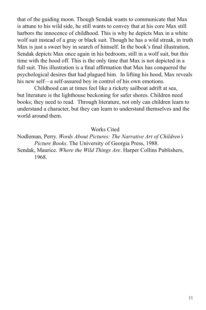that of the guiding moon. Though Sendak wants to communicate that Max is attune to his wild side, he still wants to convey that at his core Max still harbors the innocence of childhood. This is why he depicts Max in a white wolf suit instead of a gray or black suit. Though he has a wild streak, in truth Max is just a sweet boy in search of himself. In the book's final illustration, Sendak depicts Max once again in his bedroom, still in a wolf suit, but this time with the hood off. This is the only time that Max is not depicted in a full suit. This illustration is a final affirmation that Max has conquered the psychological desires that had plagued him. In lifting his hood, Max reveals his new self—a self-assured boy in control of his own emotions.

Childhood can at times feel like a rickety sailboat adrift at sea, but literature is the lighthouse beckoning for safer shores. Children need books; they need to read. Through literature, not only can children learn to understand a character, but they can learn to understand themselves and the world around them.

#### Works Cited

Nodleman, Perry. *Words About Pictures: The Narrative Art of Children's Picture Books*. The University of Georgia Press, 1988.

Sendak, Maurice. *Where the Wild Things Are*. Harper Collins Publishers, 1968.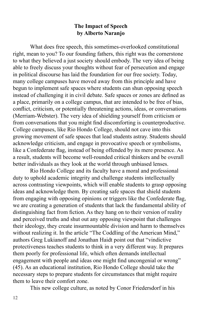#### **The Impact of Speech by Alberto Naranjo**

What does free speech, this sometimes-overlooked constitutional right, mean to you? To our founding fathers, this right was the cornerstone to what they believed a just society should embody. The very idea of being able to freely discuss your thoughts without fear of persecution and engage in political discourse has laid the foundation for our free society. Today, many college campuses have moved away from this principle and have begun to implement safe spaces where students can shun opposing speech instead of challenging it in civil debate. Safe spaces or zones are defined as a place, primarily on a college campus, that are intended to be free of bias, conflict, criticism, or potentially threatening actions, ideas, or conversations (Merriam-Webster). The very idea of shielding yourself from criticism or from conversations that you might find discomforting is counterproductive. College campuses, like Rio Hondo College, should not cave into this growing movement of safe spaces that lead students astray. Students should acknowledge criticism, and engage in provocative speech or symbolisms, like a Confederate flag, instead of being offended by its mere presence. As a result, students will become well-rounded critical thinkers and be overall better individuals as they look at the world through unbiased lenses.

Rio Hondo College and its faculty have a moral and professional duty to uphold academic integrity and challenge students intellectually across contrasting viewpoints, which will enable students to grasp opposing ideas and acknowledge them. By creating safe spaces that shield students from engaging with opposing opinions or triggers like the Confederate flag, we are creating a generation of students that lack the fundamental ability of distinguishing fact from fiction. As they hang on to their version of reality and perceived truths and shut out any opposing viewpoint that challenges their ideology, they create insurmountable division and harm to themselves without realizing it. In the article "The Coddling of the American Mind," authors Greg Lukianoff and Jonathan Haidt point out that "vindictive protectiveness teaches students to think in a very different way. It prepares them poorly for professional life, which often demands intellectual engagement with people and ideas one might find uncongenial or wrong" (45). As an educational institution, Rio Hondo College should take the necessary steps to prepare students for circumstances that might require them to leave their comfort zone.

This new college culture, as noted by Conor Friedersdorf in his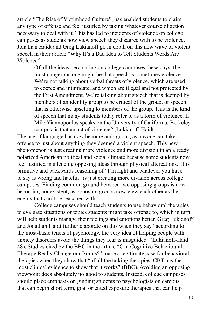article "The Rise of Victimhood Culture", has enabled students to claim any type of offense and feel justified by taking whatever course of action necessary to deal with it. This has led to incidents of violence on college campuses as students now view speech they disagree with to be violence. Jonathan Haidt and Greg Lukianoff go in depth on this new wave of violent speech in their article "Why It's a Bad Idea to Tell Students Words Are Violence":

Of all the ideas percolating on college campuses these days, the most dangerous one might be that speech is sometimes violence. We're not talking about verbal threats of violence, which are used to coerce and intimidate, and which are illegal and not protected by the First Amendment. We're talking about speech that is deemed by members of an identity group to be critical of the group, or speech that is otherwise upsetting to members of the group. This is the kind of speech that many students today refer to as a form of violence. If Milo Yiannopoulos speaks on the University of California, Berkeley, campus, is that an act of violence? (Lukianoff-Haidt)

The use of language has now become ambiguous, as anyone can take offense to just about anything they deemed a violent speech. This new phenomenon is just creating more violence and more division in an already polarized American political and social climate because some students now feel justified in silencing opposing ideas through physical altercations. This primitive and backwards reasoning of "I'm right and whatever you have to say is wrong and hateful" is just creating more division across college campuses. Finding common ground between two opposing groups is now becoming nonexistent, as opposing groups now view each other as the enemy that can't be reasoned with.

College campuses should teach students to use behavioral therapies to evaluate situations or topics students might take offense to, which in turn will help students manage their feelings and emotions better. Greg Lukianoff and Jonathan Haidt further elaborate on this when they say "according to the most-basic tenets of psychology, the very idea of helping people with anxiety disorders avoid the things they fear is misguided" (Lukianoff-Haid 48). Studies cited by the BBC in the article "Can Cognitive Behavioural Therapy Really Change our Brains?" make a legitimate case for behavioral therapies when they show that "of all the talking therapies, CBT has the most clinical evidence to show that it works" (BBC). Avoiding an opposing viewpoint does absolutely no good to students. Instead, college campuses should place emphasis on guiding students to psychologists on campus that can begin short term, goal oriented exposure therapies that can help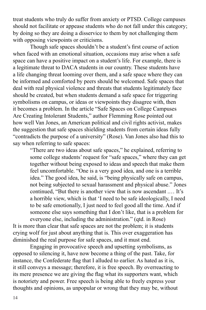treat students who truly do suffer from anxiety or PTSD. College campuses should not facilitate or appease students who do not fall under this category; by doing so they are doing a disservice to them by not challenging them with opposing viewpoints or criticisms.

Though safe spaces shouldn't be a student's first course of action when faced with an emotional situation, occasions may arise when a safe space can have a positive impact on a student's life. For example, there is a legitimate threat to DACA students in our country. These students have a life changing threat looming over them, and a safe space where they can be informed and comforted by peers should be welcomed. Safe spaces that deal with real physical violence and threats that students legitimately face should be created, but when students demand a safe space for triggering symbolisms on campus, or ideas or viewpoints they disagree with, then it becomes a problem. In the article "Safe Spaces on College Campuses Are Creating Intolerant Students," author Flemming Rose pointed out how well Van Jones, an American political and civil rights activist, makes the suggestion that safe spaces shielding students from certain ideas fully "contradicts the purpose of a university" (Rose). Van Jones also had this to say when referring to safe spaces:

> "There are two ideas about safe spaces," he explained, referring to some college students' request for "safe spaces," where they can get together without being exposed to ideas and speech that make them feel uncomfortable. "One is a very good idea, and one is a terrible idea." The good idea, he said, is "being physically safe on campus, not being subjected to sexual harassment and physical abuse." Jones continued, "But there is another view that is now ascendant .… It's a horrible view, which is that 'I need to be safe ideologically, I need to be safe emotionally, I just need to feel good all the time. And if someone else says something that I don't like, that is a problem for

everyone else, including the administration." (qtd. in Rose) It is more than clear that safe spaces are not the problem; it is students crying wolf for just about anything that is. This over exaggeration has diminished the real purpose for safe spaces, and it must end.

Engaging in provocative speech and upsetting symbolisms, as opposed to silencing it, have now become a thing of the past. Take, for instance, the Confederate flag that I alluded to earlier. As hated as it is, it still conveys a message; therefore, it is free speech. By overreacting to its mere presence we are giving the flag what its supporters want, which is notoriety and power. Free speech is being able to freely express your thoughts and opinions, as unpopular or wrong that they may be, without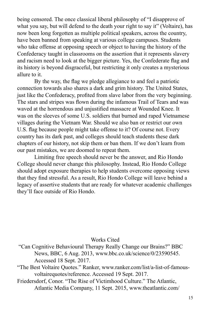being censored. The once classical liberal philosophy of "I disapprove of what you say, but will defend to the death your right to say it" (Voltaire), has now been long forgotten as multiple political speakers, across the country, have been banned from speaking at various college campuses. Students who take offense at opposing speech or object to having the history of the Confederacy taught in classrooms on the assertion that it represents slavery and racism need to look at the bigger picture. Yes, the Confederate flag and its history is beyond disgraceful, but restricting it only creates a mysterious allure to it.

By the way, the flag we pledge allegiance to and feel a patriotic connection towards also shares a dark and grim history. The United States, just like the Confederacy, profited from slave labor from the very beginning. The stars and stripes was flown during the infamous Trail of Tears and was waved at the horrendous and unjustified massacre at Wounded Knee. It was on the sleeves of some U.S. soldiers that burned and raped Vietnamese villages during the Vietnam War. Should we also ban or restrict our own U.S. flag because people might take offense to it? Of course not. Every country has its dark past, and colleges should teach students these dark chapters of our history, not skip them or ban them. If we don't learn from our past mistakes, we are doomed to repeat them.

Limiting free speech should never be the answer, and Rio Hondo College should never change this philosophy. Instead, Rio Hondo College should adopt exposure therapies to help students overcome opposing views that they find stressful. As a result, Rio Hondo College will leave behind a legacy of assertive students that are ready for whatever academic challenges they'll face outside of Rio Hondo.

#### Works Cited

- "Can Cognitive Behavioural Therapy Really Change our Brains?" BBC News, BBC, 6 Aug. 2013, www.bbc.co.uk/science/0/23590545. Accessed 18 Sept. 2017.
- "The Best Voltaire Quotes." Ranker, www.ranker.com/list/a-list-of-famousvoltairequotes/reference. Accessed 19 Sept. 2017.
- Friedersdorf, Conor. "The Rise of Victimhood Culture." The Atlantic, Atlantic Media Company, 11 Sept. 2015, www.theatlantic.com/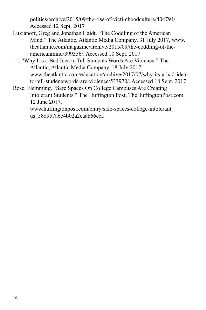politics/archive/2015/09/the-rise-of-victimhoodculture/404794/. Accessed 12 Sept. 2017

- Lukianoff, Greg and Jonathan Haidt. "The Coddling of the American Mind." The Atlantic, Atlantic Media Company, 31 July 2017, www. theatlantic.com/magazine/archive/2015/09/the-coddling-of-theamericanmind/399356/. Accessed 10 Sept. 2017
- ---. "Why It's a Bad Idea to Tell Students Words Are Violence." The Atlantic, Atlantic Media Company, 18 July 2017, www.theatlantic.com/education/archive/2017/07/why-its-a-bad-ideato-tell-studentswords-are-violence/533970/. Accessed 18 Sept. 2017
- Rose, Flemming. "Safe Spaces On College Campuses Are Creating Intolerant Students." The Huffington Post, TheHuffingtonPost.com, 12 June 2017,

www.huffingtonpost.com/entry/safe-spaces-college-intolerant\_ us\_58d957a6e4b02a2eaab66ccf.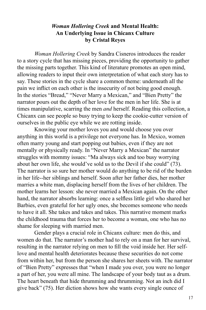#### *Woman Hollering Creek* **and Mental Health: An Underlying Issue in Chicanx Culture by Cristal Reyes**

*Woman Hollering Creek* by Sandra Cisneros introduces the reader to a story cycle that has missing pieces, providing the opportunity to gather the missing parts together. This kind of literature promotes an open mind, allowing readers to input their own interpretation of what each story has to say. These stories in the cycle share a common theme: underneath all the pain we inflict on each other is the insecurity of not being good enough. In the stories "Bread," "Never Marry a Mexican," and "Bien Pretty" the narrator pours out the depth of her love for the men in her life. She is at times manipulative, scarring the men *and* herself. Reading this collection, a Chicanx can see people so busy trying to keep the cookie-cutter version of ourselves in the public eye while we are rotting inside.

Knowing your mother loves you and would choose you over anything in this world is a privilege not everyone has. In Mexico, women often marry young and start popping out babies, even if they are not mentally or physically ready. In "Never Marry a Mexican" the narrator struggles with mommy issues: "Ma always sick and too busy worrying about her own life, she would've sold us to the Devil if she could" (73). The narrator is so sure her mother would do anything to be rid of the burden in her life--her siblings and herself. Soon after her father dies, her mother marries a white man, displacing herself from the lives of her children. The mother learns her lesson: she never married a Mexican again. On the other hand, the narrator absorbs learning: once a selfless little girl who shared her Barbies, even grateful for her ugly ones, she becomes someone who needs to have it all. She takes and takes and takes. This narrative moment marks the childhood trauma that forces her to become a woman, one who has no shame for sleeping with married men.

Gender plays a crucial role in Chicanx culture: men do this, and women do that. The narrator's mother had to rely on a man for her survival, resulting in the narrator relying on men to fill the void inside her. Her selflove and mental health deteriorates because these securities do not come from within her, but from the person she shares her sheets with. The narrator of "Bien Pretty" expresses that "when I made you over, you were no longer a part of her, you were all mine. The landscape of your body taut as a drum. The heart beneath that hide thrumming and thrumming. Not an inch did I give back" (75). Her diction shows how she wants every single ounce of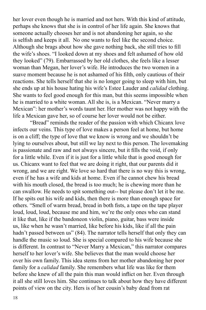her lover even though he is married and not hers. With this kind of attitude, perhaps she knows that she is in control of her life again. She knows that someone actually chooses her and is not abandoning her again, so she is selfish and keeps it all. No one wants to feel like the second choice. Although she brags about how she gave nothing back, she still tries to fill the wife's shoes. "I looked down at my shoes and felt ashamed of how old they looked" (79). Embarrassed by her old clothes, she feels like a lesser woman than Megan, her lover's wife. He introduces the two women in a suave moment because he is not ashamed of his filth, only cautious of their reactions. She tells herself that she is no longer going to sleep with him, but she ends up at his house hating his wife's Estee Lauder and *calidad* clothing. She wants to feel good enough for this man, but this seems impossible when he is married to a white woman. All she is, is a Mexican. "Never marry a Mexican": her mother's words taunt her. Her mother was not happy with the life a Mexican gave her, so of course her lover would not be either.

"Bread" reminds the reader of the passion with which Chicanx love infects our veins. This type of love makes a person feel at home, but home is on a cliff; the type of love that we know is wrong and we shouldn't be lying to ourselves about, but still we lay next to this person. The lovemaking is passionate and raw and not always sincere, but it fills the void, if only for a little while. Even if it is just for a little while that is good enough for us. Chicanx want to feel that we are doing it right, that our parents did it wrong, and we are right. We love so hard that there is no way this is wrong, even if he has a wife and kids at home. Even if he cannot chew his bread with his mouth closed, the bread is too much; he is chewing more than he can swallow. He needs to spit something out-- but please don't let it be me. If he spits out his wife and kids, then there is more than enough space for others. "Smell of warm bread, bread in both fists, a tape on the tape player loud, loud, loud, because me and him, we're the only ones who can stand it like that, like if the bandoneon violin, piano, guitar, bass were inside us, like when he wasn't married, like before his kids, like if all the pain hadn't passed between us" (84). The narrator tells herself that only they can handle the music so loud. She is special compared to his wife because she is different. In contrast to "Never Marry a Mexican," this narrator compares herself to her lover's wife. She believes that the man would choose her over his own family. This idea stems from her mother abandoning her poor family for a *calidad* family. She remembers what life was like for them before she knew of all the pain this man would inflict on her. Even through it all she still loves him. She continues to talk about how they have different points of view on the city. Hers is of her cousin's baby dead from rat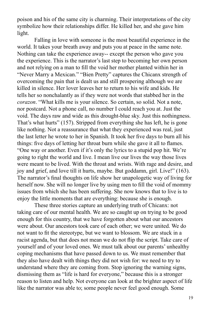poison and his of the same city is charming. Their interpretations of the city symbolize how their relationships differ. He killed her, and she gave him light.

Falling in love with someone is the most beautiful experience in the world. It takes your breath away and puts you at peace in the same note. Nothing can take the experience away-- except the person who gave you the experience. This is the narrator's last step to becoming her own person and not relying on a man to fill the void her mother planted within her in "Never Marry a Mexican." "Bien Pretty" captures the Chicanx strength of overcoming the pain that is dealt us and still prospering although we are killed in silence. Her lover leaves her to return to his wife and kids. He tells her so nonchalantly as if they were not words that stabbed her in the *corazon*. "What kills me is your silence. So certain, so solid. Not a note, nor postcard. Not a phone call, no number I could reach you at. Just the void. The days raw and wide as this drought-blue sky. Just this nothingness. That's what hurts" (157). Stripped from everything she has left, he is gone like nothing. Not a reassurance that what they experienced was real, just the last letter he wrote to her in Spanish. It took her five days to burn all his things: five days of letting her throat burn while she gave it all to flames. "One way or another. Even if it's only the lyrics to a stupid pop hit. We're going to right the world and live. I mean live our lives the way those lives were meant to be lived. With the throat and wrists. With rage and desire, and joy and grief, and love till it hurts, maybe. But goddamn, girl. Live!" (163). The narrator's final thoughts on life show her unapologetic way of living for herself now. She will no longer live by using men to fill the void of mommy issues from which she has been suffering. She now knows that to live is to enjoy the little moments that are everything: because she is enough.

These three stories capture an underlying truth of Chicanx: not taking care of our mental health. We are so caught up on trying to be good enough for this country, that we have forgotten about what our ancestors were about. Our ancestors took care of each other; we were united. We do not want to fit the stereotype, but we want to blossom. We are stuck in a racist agenda, but that does not mean we do not flip the script. Take care of yourself and of your loved ones. We must talk about our parents' unhealthy coping mechanisms that have passed down to us. We must remember that they also have dealt with things they did not wish for: we need to try to understand where they are coming from. Stop ignoring the warning signs, dismissing them as "life is hard for everyone," because this is a stronger reason to listen and help. Not everyone can look at the brighter aspect of life like the narrator was able to; some people never feel good enough. Some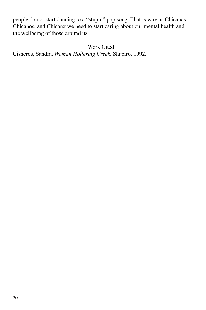people do not start dancing to a "stupid" pop song. That is why as Chicanas, Chicanos, and Chicanx we need to start caring about our mental health and the wellbeing of those around us.

Work Cited

Cisneros, Sandra. *Woman Hollering Creek*. Shapiro, 1992.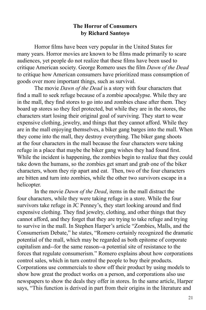#### **The Horror of Consumers by Richard Santoyo**

Horror films have been very popular in the United States for many years. Horror movies are known to be films made primarily to scare audiences, yet people do not realize that these films have been used to critique American society. George Romero uses the film *Dawn of the Dead*  to critique how American consumers have prioritized mass consumption of goods over more important things, such as survival.

The movie *Dawn of the Dead* is a story with four characters that find a mall to seek refuge because of a zombie apocalypse. While they are in the mall, they find stores to go into and zombies chase after them. They board up stores so they feel protected, but while they are in the stores, the characters start losing their original goal of surviving. They start to wear expensive clothing, jewelry, and things that they cannot afford. While they are in the mall enjoying themselves, a biker gang barges into the mall. When they come into the mall, they destroy everything. The biker gang shoots at the four characters in the mall because the four characters were taking refuge in a place that maybe the biker gang wishes they had found first. While the incident is happening, the zombies begin to realize that they could take down the humans, so the zombies get smart and grab one of the biker characters, whom they rip apart and eat. Then, two of the four characters are bitten and turn into zombies, while the other two survivors escape in a helicopter.

In the movie *Dawn of the Dead*, items in the mall distract the four characters, while they were taking refuge in a store. While the four survivors take refuge in JC Penney's, they start looking around and find expensive clothing. They find jewelry, clothing, and other things that they cannot afford, and they forget that they are trying to take refuge and trying to survive in the mall. In Stephen Harper's article "Zombies, Malls, and the Consumerism Debate," he states, "Romero certainly recognized the dramatic potential of the mall, which may be regarded as both epitome of corporate capitalism and--for the same reason--a potential site of resistance to the forces that regulate consumerism." Romero explains about how corporations control sales, which in turn control the people to buy their products. Corporations use commercials to show off their product by using models to show how great the product works on a person, and corporations also use newspapers to show the deals they offer in stores. In the same article, Harper says, "This function is derived in part from their origins in the literature and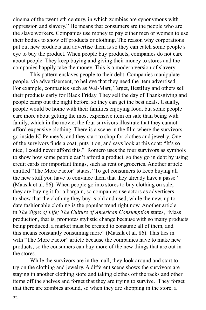cinema of the twentieth century, in which zombies are synonymous with oppression and slavery." He means that consumers are the people who are the slave workers. Companies use money to pay either men or women to use their bodies to show off products or clothing. The reason why corporations put out new products and advertise them is so they can catch some people's eye to buy the product. When people buy products, companies do not care about people. They keep buying and giving their money to stores and the companies happily take the money. This is a modern version of slavery.

This pattern enslaves people to their debt. Companies manipulate people, via advertisement, to believe that they need the item advertised. For example, companies such as Wal-Mart, Target, BestBuy and others sell their products early for Black Friday. They sell the day of Thanksgiving and people camp out the night before, so they can get the best deals. Usually, people would be home with their families enjoying food, but some people care more about getting the most expensive item on sale than being with family, which in the movie, the four survivors illustrate that they cannot afford expensive clothing. There is a scene in the film where the survivors go inside JC Penney's, and they start to shop for clothes and jewelry. One of the survivors finds a coat, puts it on, and says look at this coat: "It's so nice, I could never afford this." Romero uses the four survivors as symbols to show how some people can't afford a product, so they go in debt by using credit cards for important things, such as rent or groceries. Another article entitled "The More Factor" states, "To get consumers to keep buying all the new stuff you have to convince them that they already have a passé" (Maasik et al. 86). When people go into stores to buy clothing on sale, they are buying it for a bargain, so companies use actors as advertisers to show that the clothing they buy is old and used, while the new, up to date fashionable clothing is the popular trend right now. Another article in *The Signs of Life; The Culture of American Consumption* states, "Mass production, that is, promotes stylistic change because with so many products being produced, a market must be created to consume all of them, and this means constantly consuming more" (Maasik et al. 86). This ties in with "The More Factor" article because the companies have to make new products, so the consumers can buy more of the new things that are out in the stores.

While the survivors are in the mall, they look around and start to try on the clothing and jewelry. A different scene shows the survivors are staying in another clothing store and taking clothes off the racks and other items off the shelves and forget that they are trying to survive. They forget that there are zombies around, so when they are shopping in the store, a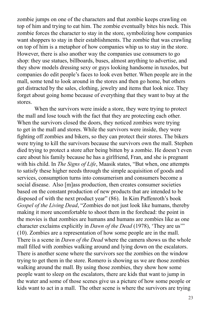zombie jumps on one of the characters and that zombie keeps crawling on top of him and trying to eat him. The zombie eventually bites his neck. This zombie forces the character to stay in the store, symbolizing how companies want shoppers to stay in their establishments. The zombie that was crawling on top of him is a metaphor of how companies whip us to stay in the store. However, there is also another way the companies use consumers to go shop: they use statues, billboards, buses, almost anything to advertise, and they show models dressing sexy or guys looking handsome in tuxedos, but companies do edit people's faces to look even better. When people are in the mall, some tend to look around in the stores and then go home, but others get distracted by the sales, clothing, jewelry and items that look nice. They forget about going home because of everything that they want to buy at the stores.

When the survivors were inside a store, they were trying to protect the mall and lose touch with the fact that they are protecting each other. When the survivors closed the doors, they noticed zombies were trying to get in the mall and stores. While the survivors were inside, they were fighting off zombies and bikers, so they can protect their stores. The bikers were trying to kill the survivors because the survivors own the mall. Stephen died trying to protect a store after being bitten by a zombie. He doesn't even care about his family because he has a girlfriend, Fran, and she is pregnant with his child. In *The Signs of Life*, Maasik states, "But when, one attempts to satisfy these higher needs through the simple acquisition of goods and services, consumption turns into consumerism and consumers become a social disease. Also [m]ass production, then creates consumer societies based on the constant production of new products that are intended to be disposed of with the next product year" (86). In Kim Paffenroth's book *Gospel of the Living Dead*, "Zombies do not just look like humans, thereby making it more uncomfortable to shoot them in the forehead: the point in the movies is that zombies are humans and humans are zombies like as one character exclaims explicitly in *Dawn of the Dead* (1978), 'They are us'" (10). Zombies are a representation of how some people are in the mall. There is a scene in *Dawn of the Dead* where the camera shows us the whole mall filled with zombies walking around and lying down on the escalators. There is another scene where the survivors see the zombies on the window trying to get them in the store. Romero is showing us we are those zombies walking around the mall. By using those zombies, they show how some people want to sleep on the escalators, there are kids that want to jump in the water and some of those scenes give us a picture of how some people or kids want to act in a mall. The other scene is where the survivors are trying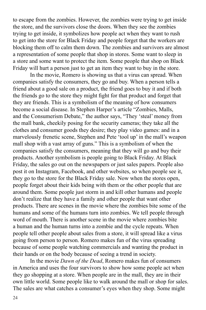to escape from the zombies. However, the zombies were trying to get inside the store, and the survivors close the doors. When they see the zombies trying to get inside, it symbolizes how people act when they want to rush to get into the store for Black Friday and people forget that the workers are blocking them off to calm them down. The zombies and survivors are almost a representation of some people that shop in stores. Some want to sleep in a store and some want to protect the item. Some people that shop on Black Friday will hurt a person just to get an item they want to buy in the store.

In the movie, Romero is showing us that a virus can spread. When companies satisfy the consumers, they go and buy. When a person tells a friend about a good sale on a product, the friend goes to buy it and if both the friends go to the store they might fight for that product and forget that they are friends. This is a symbolism of the meaning of how consumers become a social disease. In Stephen Harper's article "Zombies, Malls, and the Consumerism Debate," the author says, "They 'steal' money from the mall bank, cheekily posing for the security cameras; they take all the clothes and consumer goods they desire; they play video games: and in a marvelously frenetic scene, Stephen and Pete 'tool up' in the mall's weapon mall shop with a vast array of guns." This is a symbolism of when the companies satisfy the consumers, meaning that they will go and buy their products. Another symbolism is people going to Black Friday. At Black Friday, the sales go out on the newspapers or just sales papers. People also post it on Instagram, Facebook, and other websites, so when people see it, they go to the store for the Black Friday sale. Now when the stores open, people forget about their kids being with them or the other people that are around them. Some people just storm in and kill other humans and people don't realize that they have a family and other people that want other products. There are scenes in the movie where the zombies bite some of the humans and some of the humans turn into zombies. We tell people through word of mouth. There is another scene in the movie where zombies bite a human and the human turns into a zombie and the cycle repeats. When people tell other people about sales from a store, it will spread like a virus going from person to person. Romero makes fun of the virus spreading because of some people watching commercials and wanting the product in their hands or on the body because of seeing a trend in society.

In the movie *Dawn of the Dead*, Romero makes fun of consumers in America and uses the four survivors to show how some people act when they go shopping at a store. When people are in the mall, they are in their own little world. Some people like to walk around the mall or shop for sales. The sales are what catches a consumer's eyes when they shop. Some might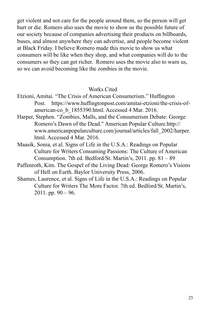get violent and not care for the people around them, so the person will get hurt or die. Romero also uses the movie to show us the possible future of our society because of companies advertising their products on billboards, buses, and almost anywhere they can advertise, and people become violent at Black Friday. I believe Romero made this movie to show us what consumers will be like when they shop, and what companies will do to the consumers so they can get richer. Romero uses the movie also to warn us, so we can avoid becoming like the zombies in the movie.

#### Works Cited

- Etzioni, Amitai. "The Crisis of American Consumerism." Huffington Post. https://www.huffingtonpost.com/amitai-etzioni/the-crisis-ofamerican-co\_b\_1855390.html. Accessed 4 Mar. 2016.
- Harper, Stephen. "Zombies, Malls, and the Consumerism Debate: George Romero's Dawn of the Dead." American Popular Culture.http:// www.americanpopularculture.com/journal/articles/fall\_2002/harper. html. Accessed 4 Mar. 2016.
- Maasik, Sonia, et al. Signs of Life in the U.S.A.: Readings on Popular Culture for Writers Consuming Passions: The Culture of American Consumption. 7th ed. Bedford/St. Martin's, 2011. pp. 81 – 89
- Paffenroth, Kim. The Gospel of the Living Dead: George Romero's Visions of Hell on Earth. Baylor University Press, 2006.
- Shames, Laurence, et al. Signs of Life in the U.S.A.: Readings on Popular Culture for Writers The More Factor. 7th ed. Bedford/St. Martin's, 2011. pp.  $90 - 96$ .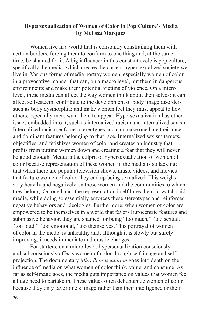#### **Hypersexualization of Women of Color in Pop Culture's Media by Melissa Marquez**

Women live in a world that is constantly constraining them with certain borders, forcing them to conform to one thing and, at the same time, be shamed for it. A big influencer in this constant cycle is pop culture, specifically the media, which creates the current hypersexualized society we live in. Various forms of media portray women, especially women of color, in a provocative manner that can, on a macro level, put them in dangerous environments and make them potential victims of violence. On a micro level, these media can affect the way women think about themselves: it can affect self-esteem; contribute to the development of body image disorders such as body dysmorphia; and make women feel they must appeal to how others, especially men, want them to appear. Hypersexualization has other issues embedded into it, such as internalized racism and internalized sexism. Internalized racism enforces stereotypes and can make one hate their race and dominant features belonging to that race. Internalized sexism targets, objectifies, and fetishizes women of color and creates an industry that profits from putting women down and creating a fear that they will never be good enough. Media is the culprit of hypersexualization of women of color because representation of these women in the media is so lacking; that when there are popular television shows, music videos, and movies that feature women of color, they end up being sexualized. This weighs very heavily and negatively on these women and the communities to which they belong. On one hand, the representation itself lures them to watch said media, while doing so essentially enforces these stereotypes and reinforces negative behaviors and ideologies. Furthermore, when women of color are empowered to be themselves in a world that favors Eurocentric features and submissive behavior, they are shamed for being "too much," "too sexual," "too loud," "too emotional," too themselves. This portrayal of women of color in the media is unhealthy and, although it is slowly but surely improving, it needs immediate and drastic changes.

For starters, on a micro level, hypersexualization consciously and subconsciously affects women of color through self-image and selfprojection. The documentary *Miss Representation* goes into depth on the influence of media on what women of color think, value, and consume. As far as self-image goes, the media puts importance on values that women feel a huge need to partake in. These values often dehumanize women of color because they only favor one's image rather than their intelligence or their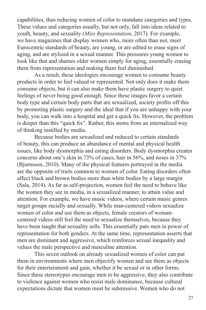capabilities, thus reducing women of color to mundane categories and types. These values and categories usually, but not only, fall into ideas related to youth, beauty, and sexuality (*Miss Representation*, 2017). For example, we have magazines that display women who, more often than not, meet Eurocentric standards of beauty, are young, or are edited to erase signs of aging, and are stylized in a sexual manner. This pressures young women to look like that and shames older women simply for aging, essentially erasing them from representation and making them feel diminished.

As a result, these ideologies encourage women to consume beauty products in order to feel valued or represented. Not only does it make them consume objects, but it can also make them have plastic surgery to quiet feelings of never being good enough. Since these images favor a certain body type and certain body parts that are sexualized, society profits off this by promoting plastic surgery and the ideal that if you are unhappy with your body, you can walk into a hospital and get a quick fix. However, the problem is deeper than this "quick fix". Rather, this stems from an internalized way of thinking instilled by media.

Because bodies are sexualized and reduced to certain standards of beauty, this can produce an abundance of mental and physical health issues, like body dysmorphia and eating disorders. Body dysmorphia creates concerns about one's skin in 73% of cases, hair in 56%, and noses in 37% (Bjornsson, 2010). Many of the physical features portrayed in the media are the opposite of traits common to women of color. Eating disorders often affect black and brown bodies more than white bodies by a large margin (Sala, 2014). As far as self-projection, women feel the need to behave like the women they see in media, in a sexualized manner, to attain value and attention. For example, we have music videos, where certain music genres target groups racially and sexually. While man-centered videos sexualize women of color and use them as objects, female creators of womancentered videos still feel the need to sexualize themselves, because they have been taught that sexuality sells. This essentially puts men in power of representation for both genders. At the same time, representation asserts that men are dominant and aggressive, which reinforces sexual inequality and values the male perspective and masculine attention.

This sexist outlook on already sexualized women of color can put them in environments where men objectify women and see them as objects for their entertainment and gain, whether it be sexual or in other forms. Since these stereotypes encourage men to be aggressive, they also contribute to violence against women who resist male dominance, because cultural expectations dictate that women must be submissive. Women who do not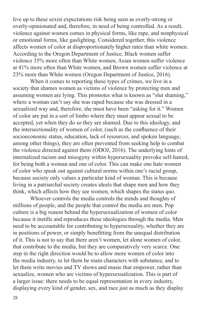live up to these sexist expectations risk being seen as overly-strong or overly-opinionated and, therefore, in need of being controlled. As a result, violence against women comes in physical forms, like rape, and nonphysical or emotional forms, like gaslighting. Considered together, this violence affects women of color at disproportionately higher rates than white women. According to the Oregon Department of Justice, Black women suffer violence 35% more often than White women, Asian women suffer violence at 41% more often than White women, and Brown women suffer violence at 23% more than White women (Oregon Department of Justice, 2016).

When it comes to reporting these types of crimes, we live in a society that shames women as victims of violence by protecting men and assuming women are lying. This promotes what is known as "slut shaming," where a woman can't say she was raped because she was dressed in a sexualized way and, therefore, she must have been "asking for it." Women of color are put in a sort of limbo where they must appear sexual to be accepted, yet when they do so they are shamed. Due to this ideology, and the intersectionality of women of color, (such as the confluence of their socioeconomic status, education, lack of resources, and spoken language, among other things), they are often prevented from seeking help to combat the violence directed against them (ODOJ, 2016). The underlying hints of internalized racism and misogyny within hypersexuality provoke self-hatred, for being both a woman and one of color. This can make one hate women of color who speak out against cultural norms within one's racial group, because society only values a particular kind of woman. This is because living in a patriarchal society creates ideals that shape men and how they think, which affects how they see women, which shapes the status quo.

Whoever controls the media controls the minds and thoughts of millions of people, and the people that control the media are men. Pop culture is a big reason behind the hypersexualization of women of color because it instills and reproduces these ideologies through the media. Men need to be accountable for contributing to hypersexuality, whether they are in positions of power, or simply benefitting from the unequal distribution of it. This is not to say that there aren't women, let alone women of color, that contribute to the media, but they are comparatively very scarce. One step in the right direction would be to allow more women of color into the media industry, to let them be main characters with substance, and to let them write movies and TV shows and music that empower, rather than sexualize, women who are victims of hypersexualization. This is part of a larger issue: there needs to be equal representation in every industry, displaying every kind of gender, sex, and race just as much as they display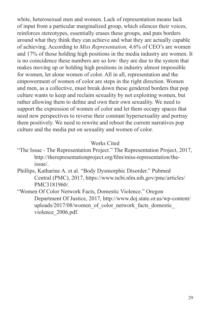white, heterosexual men and women. Lack of representation means lack of input from a particular marginalized group, which silences their voices, reinforces stereotypes, essentially erases these groups, and puts borders around what they think they can achieve and what they are actually capable of achieving. According to *Miss Representation,* 4.6% of CEO's are women and 17% of those holding high positions in the media industry are women. It is no coincidence these numbers are so low: they are due to the system that makes moving up or holding high positions in industry almost impossible for women, let alone women of color. All in all, representation and the empowerment of women of color are steps in the right direction. Women and men, as a collective, must break down these gendered borders that pop culture wants to keep and reclaim sexuality by not exploiting women, but rather allowing them to define and own their own sexuality. We need to support the expression of women of color and let them occupy spaces that need new perspectives to reverse their constant hypersexuality and portray them positively. We need to rewrite and reboot the current narratives pop culture and the media put on sexuality and women of color.

#### Works Cited

- "The Issue The Representation Project." The Representation Project, 2017, http://therepresentationproject.org/film/miss-representation/theissue/.
- Phillips, Katharine A. et al. "Body Dysmorphic Disorder." Pubmed Central (PMC), 2017, https://www.ncbi.nlm.nih.gov/pmc/articles/ PMC3181960/.
- "Women Of Color Network Facts, Domestic Violence." Oregon Department Of Justice, 2017, http://www.doj.state.or.us/wp-content/ uploads/2017/08/women\_of\_color\_network\_facts\_domestic violence\_2006.pdf.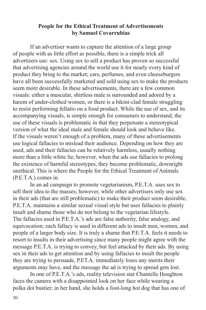#### **People for the Ethical Treatment of Advertisements by Samuel Covarrubias**

If an advertiser wants to capture the attention of a large group of people with as little effort as possible, there is a simple trick all advertisers use: sex. Using sex to sell a product has proven so successful that advertising agencies around the world use it for nearly every kind of product they bring to the market; cars, perfumes, and even cheeseburgers have all been successfully marketed and sold using sex to make the products seem more desirable. In these advertisements, there are a few common visuals: either a muscular, shirtless male is surrounded and adored by a harem of under-clothed women, or there is a bikini-clad female struggling to resist performing fellatio on a food product. While the use of sex, and its accompanying visuals, is simple enough for consumers to understand, the use of these visuals is problematic in that they perpetuate a stereotypical version of what the ideal male and female should look and behave like. If the visuals weren't enough of a problem, many of these advertisements use logical fallacies to mislead their audience. Depending on how they are used, ads and their fallacies can be relatively harmless, usually nothing more than a little white lie; however, when the ads use fallacies to prolong the existence of harmful stereotypes, they become problematic, downright unethical. This is where the People for the Ethical Treatment of Animals (P.E.T.A.) comes in.

In an ad campaign to promote vegetarianism, P.E.T.A. uses sex to sell their idea to the masses; however, while other advertisers only use sex in their ads (that are still problematic) to make their product seem desirable, P.E.T.A. maintains a similar sexual visual style but uses fallacies to plainly insult and shame those who do not belong to the vegetarian lifestyle. The fallacies used in P.E.T.A.'s ads are false authority, false analogy, and equivocation; each fallacy is used in different ads to insult men, women, and people of a larger body size. It is truly a shame that P.E.T.A. feels it needs to resort to insults in their advertising since many people might agree with the message P.E.T.A. is trying to convey, but feel attacked by their ads. By using sex in their ads to get attention and by using fallacies to insult the people they are trying to persuade, P.ET.A. immediately loses any merits their arguments may have, and the message the ad is trying to spread gets lost.

In one of P.E.T.A.'s ads, reality television star Chantelle Houghton faces the camera with a disappointed look on her face while wearing a polka dot bustier; in her hand, she holds a foot-long hot dog that has one of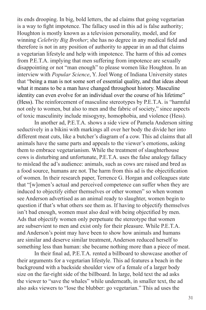its ends drooping. In big, bold letters, the ad claims that going vegetarian is a way to fight impotence. The fallacy used in this ad is false authority; Houghton is mostly known as a television personality, model, and for winning *Celebrity Big Brother*; she has no degree in any medical field and therefore is not in any position of authority to appear in an ad that claims a vegetarian lifestyle and help with impotence. The harm of this ad comes from P.E.T.A. implying that men suffering from impotence are sexually disappointing or not "man enough" to please women like Houghton. In an interview with *Popular Science*, Y. Joel Wong of Indiana University states that "being a man is not some sort of essential quality, and that ideas about what it means to be a man have changed throughout history. Masculine identity can even evolve for an individual over the course of his lifetime" (Hess). The reinforcement of masculine stereotypes by P.E.T.A. is "harmful not only to women, but also to men and the fabric of society," since aspects of toxic masculinity include misogyny, homophobia, and violence (Hess).

In another ad, P.E.T.A. shows a side view of Pamela Anderson sitting seductively in a bikini with markings all over her body the divide her into different meat cuts, like a butcher's diagram of a cow. This ad claims that all animals have the same parts and appeals to the viewer's emotions, asking them to embrace vegetarianism. While the treatment of slaughterhouse cows is disturbing and unfortunate, P.E.T.A. uses the false analogy fallacy to mislead the ad's audience: animals, such as cows are raised and bred as a food source, humans are not. The harm from this ad is the objectification of women. In their research paper, Terrence G. Horgan and colleagues state that "[w]omen's actual and perceived competence can suffer when they are induced to objectify either themselves or other women" so when women see Anderson advertised as an animal ready to slaughter, women begin to question if that's what others see them as. If having to objectify themselves isn't bad enough, women must also deal with being objectified by men. Ads that objectify women only perpetuate the stereotype that women are subservient to men and exist only for their pleasure. While P.E.T.A. and Anderson's point may have been to show how animals and humans are similar and deserve similar treatment, Anderson reduced herself to something less than human: she became nothing more than a piece of meat.

In their final ad, P.E.T.A. rented a billboard to showcase another of their arguments for a vegetarian lifestyle. This ad features a beach in the background with a backside shoulder view of a female of a larger body size on the far-right side of the billboard. In large, bold text the ad asks the viewer to "save the whales" while underneath, in smaller text, the ad also asks viewers to "lose the blubber: go vegetarian." This ad uses the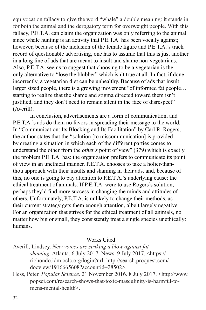equivocation fallacy to give the word "whale" a double meaning: it stands in for both the animal and the derogatory term for overweight people. With this fallacy, P.E.T.A. can claim the organization was only referring to the animal since whale hunting is an activity that P.E.T.A. has been vocally against; however, because of the inclusion of the female figure and P.E.T.A.'s track record of questionable advertising, one has to assume that this is just another in a long line of ads that are meant to insult and shame non-vegetarians. Also, P.E.T.A. seems to suggest that choosing to be a vegetarian is the only alternative to "lose the blubber" which isn't true at all. In fact, if done incorrectly, a vegetarian diet can be unhealthy. Because of ads that insult larger sized people, there is a growing movement "of informed fat people… starting to realize that the shame and stigma directed toward them isn't justified, and they don't need to remain silent in the face of disrespect" (Averill).

In conclusion, advertisements are a form of communication, and P.E.T.A.'s ads do them no favors in spreading their message to the world. In "Communication: Its Blocking and Its Facilitation" by Carl R. Rogers, the author states that the "solution [to miscommunication] is provided by creating a situation in which each of the different parties comes to understand the other from the *other's* point of view" (379) which is exactly the problem P.E.T.A. has: the organization prefers to communicate its point of view in an unethical manner. P.E.T.A. chooses to take a holier-thanthou approach with their insults and shaming in their ads, and, because of this, no one is going to pay attention to P.E.T.A.'s underlying cause: the ethical treatment of animals. If P.E.T.A. were to use Rogers's solution, perhaps they'd find more success in changing the minds and attitudes of others. Unfortunately, P.E.T.A. is unlikely to change their methods, as their current strategy gets them enough attention, albeit largely negative. For an organization that strives for the ethical treatment of all animals, no matter how big or small, they consistently treat a single species unethically: humans.

#### Works Cited

- Averill, Lindsey. *New voices are striking a blow against fatshaming*. Atlanta, 6 July 2017. News. 9 July 2017. <https:// riohondo.idm.oclc.org/login?url=http://search.proquest.com/ docview/1916665608?accountid=28502>.
- Hess, Peter. *Popular Science*. 21 November 2016. 8 July 2017. <http://www. popsci.com/research-shows-that-toxic-masculinity-is-harmful-tomens-mental-health>.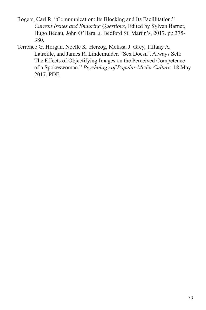- Rogers, Carl R. "Communication: Its Blocking and Its Facillitation." *Current Issues and Enduring Questions,* Edited by Sylvan Barnet, Hugo Bedau, John O'Hara. *s*. Bedford St. Martin's, 2017. pp.375- 380.
- Terrence G. Horgan, Noelle K. Herzog, Melissa J. Grey, Tiffany A. Latreille, and James R. Lindemulder. "Sex Doesn't Always Sell: The Effects of Objectifying Images on the Perceived Competence of a Spokeswoman." *Psychology of Popular Media Culture*. 18 May 2017. PDF.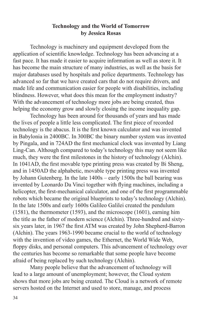#### **Technology and the World of Tomorrow by Jessica Rosas**

Technology is machinery and equipment developed from the application of scientific knowledge. Technology has been advancing at a fast pace. It has made it easier to acquire information as well as store it. It has become the main structure of many industries, as well as the basis for major databases used by hospitals and police departments. Technology has advanced so far that we have created cars that do not require drivers, and made life and communication easier for people with disabilities, including blindness. However, what does this mean for the employment industry? With the advancement of technology more jobs are being created, thus helping the economy grow and slowly closing the income inequality gap.

Technology has been around for thousands of years and has made the lives of people a little less complicated. The first piece of recorded technology is the abacus. It is the first known calculator and was invented in Babylonia in 2400BC. In 300BC the binary number system was invented by Pingala, and in 724AD the first mechanical clock was invented by Liang Ling-Can. Although compared to today's technology this may not seem like much, they were the first milestones in the history of technology (Alchin). In 1041AD, the first movable type printing press was created by Bi Sheng, and in 1450AD the alphabetic, movable type printing press was invented by Johann Gutenberg. In the late 1400s – early 1500s the ball bearing was invented by Leonardo Da Vinci together with flying machines, including a helicopter, the first-mechanical calculator, and one of the first programmable robots which became the original blueprints to today's technology (Alchin). In the late 1500s and early 1600s Galileo Galilei created the pendulum (1581), the thermometer (1593), and the microscope (1601), earning him the title as the father of modern science (Alchin). Three-hundred and sixtysix years later, in 1967 the first ATM was created by John Shepherd-Barron (Alchin). The years 1963-1990 became crucial to the world of technology with the invention of video games, the Ethernet, the World Wide Web, floppy disks, and personal computers. This advancement of technology over the centuries has become so remarkable that some people have become afraid of being replaced by such technology (Alchin).

Many people believe that the advancement of technology will lead to a large amount of unemployment; however, the Cloud system shows that more jobs are being created. The Cloud is a network of remote servers hosted on the Internet and used to store, manage, and process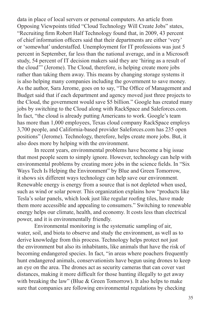data in place of local servers or personal computers. An article from Opposing Viewpoints titled "Cloud Technology Will Create Jobs" states, "Recruiting firm Robert Half Technology found that, in 2009, 43 percent of chief information officers said that their departments are either 'very' or 'somewhat' understaffed. Unemployment for IT professions was just 5 percent in September, far less than the national average, and in a Microsoft study, 54 percent of IT decision makers said they are 'hiring as a result of the cloud'" (Jerome). The Cloud, therefore, is helping create more jobs rather than taking them away. This means by changing storage systems it is also helping many companies including the government to save money. As the author, Sara Jerome, goes on to say, "The Office of Management and Budget said that if each department and agency moved just three projects to the Cloud, the government would save \$5 billion." Google has created many jobs by switching to the Cloud along with RackSpace and Saleforces.com. In fact, "the cloud is already putting Americans to work. Google's team has more than 1,000 employees, Texas cloud company RackSpace employs 3,700 people, and California-based provider Saleforces.com has 235 open positions" (Jerome). Technology, therefore, helps create more jobs. But, it also does more by helping with the environment.

In recent years, environmental problems have become a big issue that most people seem to simply ignore. However, technology can help with environmental problems by creating more jobs in the science fields. In "Six Ways Tech Is Helping the Environment" by Blue and Green Tomorrow, it shows six different ways technology can help save our environment. Renewable energy is energy from a source that is not depleted when used, such as wind or solar power. This organization explains how "products like Tesla's solar panels, which look just like regular roofing tiles, have made them more accessible and appealing to consumers." Switching to renewable energy helps our climate, health, and economy. It costs less than electrical power, and it is environmentally friendly.

Environmental monitoring is the systematic sampling of air, water, soil, and biota to observe and study the environment, as well as to derive knowledge from this process. Technology helps protect not just the environment but also its inhabitants, like animals that have the risk of becoming endangered species. In fact, "in areas where poachers frequently hunt endangered animals, conservationists have begun using drones to keep an eye on the area. The drones act as security cameras that can cover vast distances, making it more difficult for those hunting illegally to get away with breaking the law" (Blue & Green Tomorrow). It also helps to make sure that companies are following environmental regulations by checking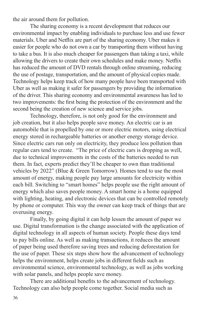the air around them for pollution.

The sharing economy is a recent development that reduces our environmental impact by enabling individuals to purchase less and use fewer materials. Uber and Netflix are part of the sharing economy. Uber makes it easier for people who do not own a car by transporting them without having to take a bus. It is also much cheaper for passengers than taking a taxi, while allowing the drivers to create their own schedules and make money. Netflix has reduced the amount of DVD rentals through online streaming, reducing the use of postage, transportation, and the amount of physical copies made. Technology helps keep track of how many people have been transported with Uber as well as making it safer for passengers by providing the information of the driver. This sharing economy and environmental awareness has led to two improvements: the first being the protection of the environment and the second being the creation of new science and service jobs.

Technology, therefore, is not only good for the environment and job creation, but it also helps people save money. An electric car is an automobile that is propelled by one or more electric motors, using electrical energy stored in rechargeable batteries or another energy storage device. Since electric cars run only on electricity, they produce less pollution than regular cars tend to create. "The price of electric cars is dropping as well, due to technical improvements in the costs of the batteries needed to run them. In fact, experts predict they'll be cheaper to own than traditional vehicles by 2022" (Blue & Green Tomorrow). Homes tend to use the most amount of energy, making people pay large amounts for electricity within each bill. Switching to "smart homes" helps people use the right amount of energy which also saves people money. A smart home is a home equipped with lighting, heating, and electronic devices that can be controlled remotely by phone or computer. This way the owner can keep track of things that are overusing energy.

Finally, by going digital it can help lessen the amount of paper we use. Digital transformation is the change associated with the application of digital technology in all aspects of human society. People these days tend to pay bills online. As well as making transactions, it reduces the amount of paper being used therefore saving trees and reducing deforestation for the use of paper. These six steps show how the advancement of technology helps the environment, helps create jobs in different fields such as environmental science, environmental technology, as well as jobs working with solar panels, and helps people save money.

There are additional benefits to the advancement of technology. Technology can also help people come together. Social media such as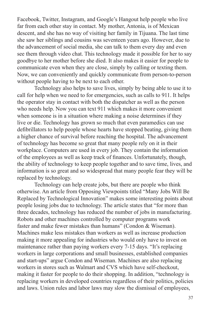Facebook, Twitter, Instagram, and Google's Hangout help people who live far from each other stay in contact. My mother, Antonia, is of Mexican descent, and she has no way of visiting her family in Tijuana. The last time she saw her siblings and cousins was seventeen years ago. However, due to the advancement of social media, she can talk to them every day and even see them through video chat. This technology made it possible for her to say goodbye to her mother before she died. It also makes it easier for people to communicate even when they are close, simply by calling or texting them. Now, we can conveniently and quickly communicate from person-to-person without people having to be next to each other.

Technology also helps to save lives, simply by being able to use it to call for help when we need to for emergencies, such as calls to 911. It helps the operator stay in contact with both the dispatcher as well as the person who needs help. Now you can text 911 which makes it more convenient when someone is in a situation where making a noise determines if they live or die. Technology has grown so much that even paramedics can use defibrillators to help people whose hearts have stopped beating, giving them a higher chance of survival before reaching the hospital. The advancement of technology has become so great that many people rely on it in their workplace. Computers are used in every job. They contain the information of the employees as well as keep track of finances. Unfortunately, though, the ability of technology to keep people together and to save time, lives, and information is so great and so widespread that many people fear they will be replaced by technology.

Technology can help create jobs, but there are people who think otherwise. An article from Opposing Viewpoints titled "Many Jobs Will Be Replaced by Technological Innovation" makes some interesting points about people losing jobs due to technology. The article states that "for more than three decades, technology has reduced the number of jobs in manufacturing. Robots and other machines controlled by computer programs work faster and make fewer mistakes than humans" (Condon & Wiseman). Machines make less mistakes than workers as well as increase production making it more appealing for industries who would only have to invest on maintenance rather than paying workers every 7-15 days. "It's replacing workers in large corporations and small businesses, established companies and start-ups" argue Condon and Wiseman. Machines are also replacing workers in stores such as Walmart and CVS which have self-checkout, making it faster for people to do their shopping. In addition, "technology is replacing workers in developed countries regardless of their politics, policies and laws. Union rules and labor laws may slow the dismissal of employees,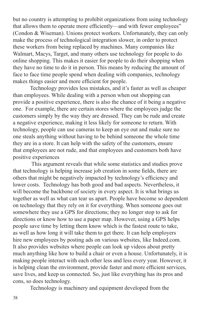but no country is attempting to prohibit organizations from using technology that allows them to operate more efficiently—and with fewer employees" (Condon & Wiseman). Unions protect workers. Unfortunately, they can only make the process of technological integration slower, in order to protect these workers from being replaced by machines. Many companies like Walmart, Macys, Target, and many others use technology for people to do online shopping. This makes it easier for people to do their shopping when they have no time to do it in person. This means by reducing the amount of face to face time people spend when dealing with companies, technology makes things easier and more efficient for people.

Technology provides less mistakes, and it's faster as well as cheaper than employees. While dealing with a person when out shopping can provide a positive experience, there is also the chance of it being a negative one. For example, there are certain stores where the employees judge the customers simply by the way they are dressed. They can be rude and create a negative experience, making it less likely for someone to return. With technology, people can use cameras to keep an eye out and make sure no one steals anything without having to be behind someone the whole time they are in a store. It can help with the safety of the customers, ensure that employees are not rude, and that employees and customers both have positive experiences

 This argument reveals that while some statistics and studies prove that technology is helping increase job creation in some fields, there are others that might be negatively impacted by technology's efficiency and lower costs. Technology has both good and bad aspects. Nevertheless, it will become the backbone of society in every aspect. It is what brings us together as well as what can tear us apart. People have become so dependent on technology that they rely on it for everything. When someone goes out somewhere they use a GPS for directions; they no longer stop to ask for directions or know how to use a paper map. However, using a GPS helps people save time by letting them know which is the fastest route to take, as well as how long it will take them to get there. It can help employers hire new employees by posting ads on various websites, like Indeed.com. It also provides websites where people can look up videos about pretty much anything like how to build a chair or even a house. Unfortunately, it is making people interact with each other less and less every year. However, it is helping clean the environment, provide faster and more efficient services, save lives, and keep us connected. So, just like everything has its pros and cons, so does technology.

Technology is machinery and equipment developed from the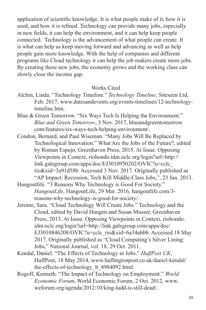application of scientific knowledge. It is what people make of it, how it is used, and how it is refined. Technology can provide many jobs, especially in new fields, it can help the environment, and it can help keep people connected. Technology is the advancement of what people can create. It is what can help us keep moving forward and advancing as well as help people gain more knowledge. With the help of companies and different programs like Cloud technology it can help the job makers create more jobs. By creating these new jobs, the economy grows and the working class can slowly close the income gap.

#### Works Cited

- Alchin, Linda. "Technology Timeline." *Technology Timeline*, Siteseen Ltd, Feb. 2017, www.datesandevents.org/events-timelines/12-technologytimeline.htm.
- Blue & Green Tomorrow. "Six Ways Tech Is Helping the Environment." *Blue and Green Tomorrow*, 3 Nov. 2017, blueandgreentomorrow. com/features/six-ways-tech-helping-environment/.
- Condon, Bernard, and Paul Wiseman. "Many Jobs Will Be Replaced by Technological Innovation." What Are the Jobs of the Future?, edited by Roman Espejo, Greenhaven Press, 2015. At Issue. Opposing Viewpoints in Context, riohondo.idm.oclc.org/login?url=http:// link.galegroup.com/apps/doc/EJ3010950202/OVIC?u=cclc\_ rio&xid=3a91d58b. Accessed 3 Nov. 2017. Originally published as "AP Impact: Recession, Tech Kill Middle-Class Jobs,", 23 Jan. 2013.
- Hangoutlife. "3 Reasons Why Technology is Good For Society." *HangoutLife*, HangoutLife, 29 Mar. 2016, hangoutlife.com/3 reasons-why-technology-is-good-for-society/.
- Jerome, Sara. "Cloud Technology Will Create Jobs." Technology and the Cloud, edited by David Haugen and Susan Musser, Greenhaven Press, 2013. At Issue. Opposing Viewpoints in Context, riohondo. idm.oclc.org/login?url=http://link.galegroup.com/apps/doc/ EJ3010846208/OVIC?u=cclc\_rio&xid=6a34abbb. Accessed 18 May 2017. Originally published as "Cloud Computing's Silver Lining: Jobs," National Journal, vol. 18, 29 Oct. 2011.
- Kendal, Daniel. "The Effects of Technology in Jobs." *HuffPost UK*, HuffPost, 18 May 2014, www.huffingtonpost.co.uk/daniel-kendal/ the-effects-of-technology\_b\_4984092.html.
- Rogoff, Kenneth. "The Impact of Technology on Employment." *World Economic Forum*, World Economic Forum, 2 Oct. 2012, www. weforum.org/agenda/2012/10/king-ludd-is-still-dead/.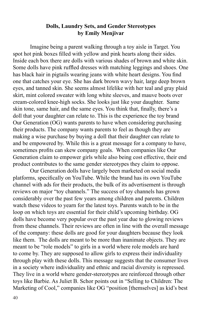## **Dolls, Laundry Sets, and Gender Stereotypes by Emily Menjivar**

Imagine being a parent walking through a toy aisle in Target. You spot hot pink boxes filled with yellow and pink hearts along their sides. Inside each box there are dolls with various shades of brown and white skin. Some dolls have pink ruffled dresses with matching leggings and shoes. One has black hair in pigtails wearing jeans with white heart designs. You find one that catches your eye. She has dark brown wavy hair, large deep brown eyes, and tanned skin. She seems almost lifelike with her teal and gray plaid skirt, mint colored sweater with long white sleeves, and mauve boots over cream-colored knee-high socks. She looks just like your daughter. Same skin tone, same hair, and the same eyes. You think that, finally, there's a doll that your daughter can relate to. This is the experience the toy brand Our Generation (OG) wants parents to have when considering purchasing their products. The company wants parents to feel as though they are making a wise purchase by buying a doll that their daughter can relate to and be empowered by. While this is a great message for a company to have, sometimes profits can skew company goals. When companies like Our Generation claim to empower girls while also being cost effective, their end product contributes to the same gender stereotypes they claim to oppose.

Our Generation dolls have largely been marketed on social media platforms, specifically on YouTube. While the brand has its own YouTube channel with ads for their products, the bulk of its advertisement is through reviews on major "toy channels." The success of toy channels has grown considerably over the past few years among children and parents. Children watch these videos to yearn for the latest toys. Parents watch to be in the loop on which toys are essential for their child's upcoming birthday. OG dolls have become very popular over the past year due to glowing reviews from these channels. Their reviews are often in line with the overall message of the company: these dolls are good for your daughters because they look like them. The dolls are meant to be more than inanimate objects. They are meant to be "role models" to girls in a world where role models are hard to come by. They are supposed to allow girls to express their individuality through play with these dolls. This message suggests that the consumer lives in a society where individuality and ethnic and racial diversity is repressed. They live in a world where gender-stereotypes are reinforced through other toys like Barbie. As Juliet B. Schor points out in "Selling to Children: The Marketing of Cool," companies like OG "position [themselves] as kid's best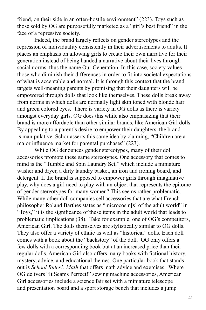friend, on their side in an often-hostile environment" (223). Toys such as those sold by OG are purposefully marketed as a "girl's best friend" in the face of a repressive society.

Indeed, the brand largely reflects on gender stereotypes and the repression of individuality consistently in their advertisements to adults. It places an emphasis on allowing girls to create their own narrative for their generation instead of being handed a narrative about their lives through social norms, thus the name Our Generation. In this case, society values those who diminish their differences in order to fit into societal expectations of what is acceptable and normal. It is through this context that the brand targets well-meaning parents by promising that their daughters will be empowered through dolls that look like themselves. These dolls break away from norms in which dolls are normally light skin toned with blonde hair and green colored eyes. There is variety in OG dolls as there is variety amongst everyday girls. OG does this while also emphasizing that their brand is more affordable than other similar brands, like American Girl dolls. By appealing to a parent's desire to empower their daughters, the brand is manipulative. Schor asserts this same idea by claiming, "Children are a major influence market for parental purchases" (223).

While OG denounces gender stereotypes, many of their doll accessories promote these same stereotypes. One accessory that comes to mind is the "Tumble and Spin Laundry Set," which include a miniature washer and dryer, a dirty laundry basket, an iron and ironing board, and detergent. If the brand is supposed to empower girls through imaginative play, why does a girl need to play with an object that represents the epitome of gender stereotypes for many women? This seems rather problematic. While many other doll companies sell accessories that are what French philosopher Roland Barthes states as "microcosm[s] of the adult world" in "Toys," it is the significance of these items in the adult world that leads to problematic implications (38). Take for example, one of OG's competitors, American Girl. The dolls themselves are stylistically similar to OG dolls. They also offer a variety of ethnic as well as "historical" dolls. Each doll comes with a book about the "backstory" of the doll. OG only offers a few dolls with a corresponding book but at an increased price than their regular dolls. American Girl also offers many books with fictional history, mystery, advice, and educational themes. One particular book that stands out is *School Rules!: Math* that offers math advice and exercises. Where OG delivers "It Seams Perfect!" sewing machine accessories, American Girl accessories include a science fair set with a miniature telescope and presentation board and a sport storage bench that includes a jump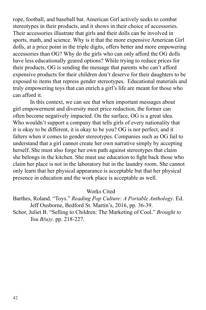rope, football, and baseball bat. American Girl actively seeks to combat stereotypes in their products, and it shows in their choice of accessories. Their accessories illustrate that girls and their dolls can be involved in sports, math, and science. Why is it that the more expensive American Girl dolls, at a price point in the triple digits, offers better and more empowering accessories than OG? Why do the girls who can only afford the OG dolls have less educationally geared options? While trying to reduce prices for their products, OG is sending the message that parents who can't afford expensive products for their children don't deserve for their daughters to be exposed to items that repress gender stereotypes. Educational materials and truly empowering toys that can enrich a girl's life are meant for those who can afford it.

In this context, we can see that when important messages about girl empowerment and diversity meet price reduction, the former can often become negatively impacted. On the surface, OG is a great idea. Who wouldn't support a company that tells girls of every nationality that it is okay to be different, it is okay to be you? OG is not perfect, and it falters when it comes to gender stereotypes. Companies such as OG fail to understand that a girl cannot create her own narrative simply by accepting herself. She must also forge her own path against stereotypes that claim she belongs in the kitchen. She must use education to fight back those who claim her place is not in the laboratory but in the laundry room. She cannot only learn that her physical appearance is acceptable but that her physical presence in education and the work place is acceptable as well.

Works Cited

Barthes, Roland. "Toys." *Reading Pop Culture: A Portable Anthology*. Ed. Jeff Ousborne, Bedford St. Martin's, 2016, pp. 36-39.

Schor, Juliet B. "Selling to Children: The Marketing of Cool." *Brought to You B(u)y*. pp. 218-227.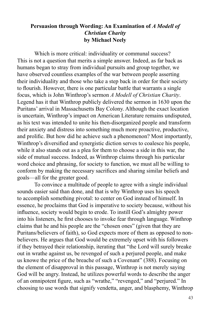# **Persuasion through Wording: An Examination of** *A Modell of Christian Charity* **by Michael Neely**

Which is more critical: individuality or communal success? This is not a question that merits a simple answer. Indeed, as far back as humans began to stray from individual pursuits and group together, we have observed countless examples of the war between people asserting their individuality and those who take a step back in order for their society to flourish. However, there is one particular battle that warrants a single focus, which is John Winthrop's sermon *A Modell of Christian Charity*. Legend has it that Winthrop publicly delivered the sermon in 1630 upon the Puritans' arrival in Massachusetts Bay Colony. Although the exact location is uncertain, Winthrop's impact on American Literature remains undisputed, as his text was intended to unite his then-disorganized people and transform their anxiety and distress into something much more proactive, productive, and prolific. But how did he achieve such a phenomenon? Most importantly, Winthrop's diversified and synergistic diction serves to coalesce his people, while it also stands out as a plea for them to choose a side in this war, the side of mutual success. Indeed, as Winthrop claims through his particular word choice and phrasing, for society to function, we must all be willing to conform by making the necessary sacrifices and sharing similar beliefs and goals—all for the greater good.

To convince a multitude of people to agree with a single individual sounds easier said than done, and that is why Winthrop uses his speech to accomplish something pivotal: to center on God instead of himself. In essence, he proclaims that God is imperative to society because, without his influence, society would begin to erode. To instill God's almighty power into his listeners, he first chooses to invoke fear through language. Winthrop claims that he and his people are the "chosen ones" (given that they are Puritans/believers of faith), so God expects more of them as opposed to nonbelievers. He argues that God would be extremely upset with his followers if they betrayed their relationship, iterating that "the Lord will surely breake out in wrathe against us, be revenged of such a perjured people, and make us knowe the price of the breache of such a Covenant" (388). Focusing on the element of disapproval in this passage, Winthrop is not merely saying God will be angry. Instead, he utilizes powerful words to describe the anger of an omnipotent figure, such as "wrathe," "revenged," and "perjured." In choosing to use words that signify vendetta, anger, and blasphemy, Winthrop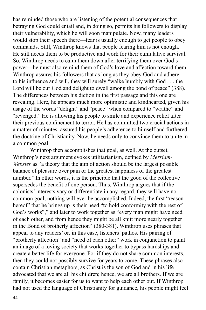has reminded those who are listening of the potential consequences that betraying God could entail and, in doing so, permits his followers to display their vulnerability, which he will soon manipulate. Now, many leaders would stop their speech there—fear is usually enough to get people to obey commands. Still, Winthrop knows that people fearing him is not enough. He still needs them to be productive and work for their cumulative survival. So, Winthrop needs to calm them down after terrifying them over God's power—he must also remind them of God's love and affection toward them. Winthrop assures his followers that as long as they obey God and adhere to his influence and will, they will surely "walke humbly with God . . . the Lord will be our God and delight to dwell among the bond of peace" (388). The differences between his diction in the first passage and this one are revealing. Here, he appears much more optimistic and kindhearted, given his usage of the words "delight" and "peace" when compared to "wrathe" and "revenged." He is allowing his people to smile and experience relief after their previous confinement to terror. He has committed two crucial actions in a matter of minutes: assured his people's adherence to himself and furthered the doctrine of Christianity. Now, he needs only to convince them to unite in a common goal.

Winthrop then accomplishes that goal, as well. At the outset, Winthrop's next argument evokes utilitarianism, defined by *Merriam-Webster* as "a theory that the aim of action should be the largest possible balance of pleasure over pain or the greatest happiness of the greatest number." In other words, it is the principle that the good of the collective supersedes the benefit of one person. Thus, Winthrop argues that if the colonists' interests vary or differentiate in any regard, they will have no common goal; nothing will ever be accomplished. Indeed, the first "reason hereof" that he brings up is their need "to hold conformity with the rest of God's works"," and later to work together as "every man might have need of each other, and from hence they might be all knitt more nearly together in the Bond of brotherly affection" (380-381). Winthrop uses phrases that appeal to any readers' or, in this case, listeners' pathos. His pairing of "brotherly affection" and "need of each other" work in conjunction to paint an image of a loving society that works together to bypass hardships and create a better life for everyone. For if they do not share common interests, then they could not possibly survive for years to come. These phrases also contain Christian metaphors, as Christ is the son of God and in his life advocated that we are all his children; hence, we are all brothers. If we are family, it becomes easier for us to want to help each other out. If Winthrop had not used the language of Christianity for guidance, his people might feel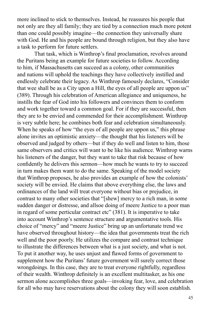more inclined to stick to themselves. Instead, he reassures his people that not only are they all family; they are tied by a connection much more potent than one could possibly imagine—the connection they universally share with God. He and his people are bound through religion, but they also have a task to perform for future settlers.

That task, which is Winthrop's final proclamation, revolves around the Puritans being an example for future societies to follow. According to him, if Massachusetts can succeed as a colony, other communities and nations will uphold the teachings they have collectively instilled and endlessly celebrate their legacy. As Winthrop famously declares, "Consider that wee shall be as a City upon a Hill, the eyes of all people are uppon us" (389). Through his celebration of American allegiance and uniqueness, he instills the fear of God into his followers and convinces them to conform and work together toward a common goal. For if they are successful, then they are to be envied and commended for their accomplishment. Winthrop is very subtle here; he combines both fear and celebration simultaneously. When he speaks of how "the eyes of all people are uppon us," this phrase alone invites an optimistic anxiety—the thought that his listeners will be observed and judged by others—but if they do well and listen to him, those same observers and critics will want to be like his audience. Winthrop warns his listeners of the danger, but they want to take that risk because of how confidently he delivers this sermon—how much he wants to try to succeed in turn makes them want to do the same. Speaking of the model society that Winthrop proposes, he also provides an example of how the colonists' society will be envied. He claims that above everything else, the laws and ordinances of the land will treat everyone without bias or prejudice, in contrast to many other societies that "[shew] mercy to a rich man, in some sudden danger or distresse, and allsoe doing of meere Justice to a poor man in regard of some perticular contract etc" (381). It is imperative to take into account Winthrop's sentence structure and argumentative tools. His choice of "mercy" and "meere Justice" bring up an unfortunate trend we have observed throughout history—the idea that governments treat the rich well and the poor poorly. He utilizes the compare and contrast technique to illustrate the differences between what is a just society, and what is not. To put it another way, he uses unjust and flawed forms of government to supplement how the Puritans' future government will surely correct those wrongdoings. In this case, they are to treat everyone rightfully, regardless of their wealth. Winthrop definitely is an excellent multitasker, as his one sermon alone accomplishes three goals—invoking fear, love, and celebration for all who may have reservations about the colony they will soon establish.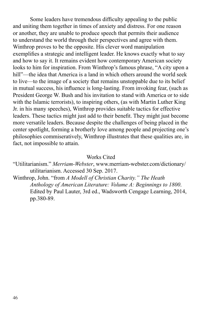Some leaders have tremendous difficulty appealing to the public and uniting them together in times of anxiety and distress. For one reason or another, they are unable to produce speech that permits their audience to understand the world through their perspectives and agree with them. Winthrop proves to be the opposite. His clever word manipulation exemplifies a strategic and intelligent leader. He knows exactly what to say and how to say it. It remains evident how contemporary American society looks to him for inspiration. From Winthrop's famous phrase, "A city upon a hill"—the idea that America is a land in which others around the world seek to live—to the image of a society that remains unstoppable due to its belief in mutual success, his influence is long-lasting. From invoking fear, (such as President George W. Bush and his invitation to stand with America or to side with the Islamic terrorists), to inspiring others, (as with Martin Luther King Jr. in his many speeches), Winthrop provides suitable tactics for effective leaders. These tactics might just add to their benefit. They might just become more versatile leaders. Because despite the challenges of being placed in the center spotlight, forming a brotherly love among people and projecting one's philosophies commiseratively, Winthrop illustrates that these qualities are, in fact, not impossible to attain.

#### Works Cited

- "Utilitarianism." *Merriam-Webster*, www.merriam-webster.com/dictionary/ utilitarianism. Accessed 30 Sep. 2017.
- Winthrop, John. "from *A Modell of Christian Charity." The Heath Anthology of American Literature: Volume A: Beginnings to 1800*. Edited by Paul Lauter, 3rd ed., Wadsworth Cengage Learning, 2014, pp.380-89.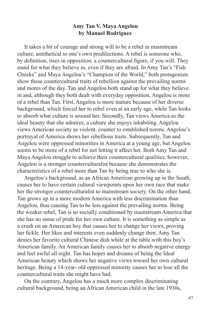## **Amy Tan V. Maya Angelou by Manuel Rodriguez**

 It takes a bit of courage and strong will to be a rebel in mainstream culture, antithetical to one's own predilections. A rebel is someone who, by definition, rises in opposition, a countercultural figure, if you will. They stand for what they believe in, even if they are afraid. In Amy Tan's "Fish Cheeks" and Maya Angelou's "Champion of the World," both protagonists show these countercultural traits of rebellion against the prevailing norms and mores of the day. Tan and Angelou both stand up for what they believe in and, although they both dealt with everyday opposition, Angelou is more of a rebel than Tan. First, Angelou is more mature because of her diverse background, which forced her to rebel even at an early age, while Tan looks to absorb what culture is around her. Secondly, Tan views America as the ideal beauty that she admires, a culture she enjoys inhabiting. Angelou views American society as violent, counter to established norms. Angelou's portrayal of America shows her rebellious traits. Subsequently, Tan and Angelou were oppressed minorities in America at a young age, but Angelou seems to be more of a rebel for not letting it affect her. Both Amy Tan and Maya Angelou struggle to achieve their countercultural qualities; however, Angelou is a stronger counterculturalist because she demonstrates the characteristics of a rebel more than Tan by being true to who she is.

 Angelou's background, as an African American growing up in the South, causes her to have certain cultural viewpoints upon her own race that make her the stronger counterculturalist to mainstream society. On the other hand, Tan grows up in a more modern America with less discrimination than Angelou, thus causing Tan to be less against the prevailing norms. Being the weaker rebel, Tan is so socially conditioned by mainstream America that she has no sense of pride for her own culture. It is something as simple as a crush on an American boy that causes her to change her views, proving her fickle. Her likes and interests even suddenly change then. Amy Tan denies her favorite cultural Chinese dish while at the table with this boy's American family. An American family causes her to absorb negative energy and feel awful all night. Tan has hopes and dreams of being the Ideal American beauty which shows her negative views toward her own cultural heritage. Being a 14-year- old oppressed minority causes her to lose all the countercultural traits she might have had.

 On the contrary, Angelou has a much more complex discriminating cultural background, being an African American child in the late 1930s,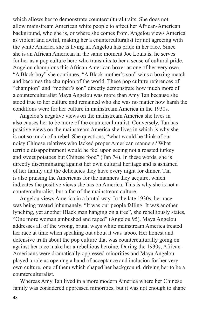which allows her to demonstrate countercultural traits. She does not allow mainstream American white people to affect her African-American background, who she is, or where she comes from. Angelou views America as violent and awful, making her a counterculturalist for not agreeing with the white America she is living in. Angelou has pride in her race. Since she is an African American in the same moment Joe Louis is, he serves for her as a pop culture hero who transmits to her a sense of cultural pride. Angelou champions this African American boxer as one of her very own, "A Black boy" she continues, "A Black mother's son" wins a boxing match and becomes the champion of the world. These pop culture references of "champion" and "mother's son" directly demonstrate how much more of a counterculturalist Maya Angelou was more than Amy Tan because she stood true to her culture and remained who she was no matter how harsh the conditions were for her culture in mainstream America in the 1930s.

 Angelou's negative views on the mainstream America she lives in also causes her to be more of the counterculturalist. Conversely, Tan has positive views on the mainstream America she lives in which is why she is not so much of a rebel. She questions, "what would he think of our noisy Chinese relatives who lacked proper American manners? What terrible disappointment would he feel upon seeing not a roasted turkey and sweet potatoes but Chinese food" (Tan 74). In these words, she is directly discriminating against her own cultural heritage and is ashamed of her family and the delicacies they have every night for dinner. Tan is also praising the Americans for the manners they acquire, which indicates the positive views she has on America. This is why she is not a counterculturalist, but a fan of the mainstream culture.

 Angelou views America in a brutal way. In the late 1930s, her race was being treated inhumanely. "It was our people falling. It was another lynching, yet another Black man hanging on a tree", she rebelliously states, "One more woman ambushed and raped" (Angelou 95). Maya Angelou addresses all of the wrong, brutal ways white mainstream America treated her race at time when speaking out about it was taboo. Her honest and defensive truth about the pop culture that was counterculturally going on against her race make her a rebellious heroine. During the 1930s, African-Americans were dramatically oppressed minorities and Maya Angelou played a role as opening a hand of acceptance and inclusion for her very own culture, one of them which shaped her background, driving her to be a counterculturalist.

 Whereas Amy Tan lived in a more modern America where her Chinese family was considered oppressed minorities, but it was not enough to shape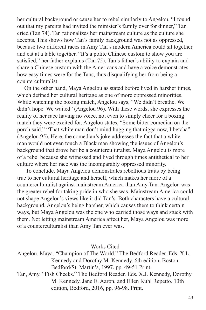her cultural background or cause her to rebel similarly to Angelou. "I found out that my parents had invited the minister's family over for dinner," Tan cried (Tan 74). Tan rationalizes her mainstream culture as the culture she accepts. This shows how Tan's family background was not as oppressed, because two different races in Amy Tan's modern America could sit together and eat at a table together. "It's a polite Chinese custom to show you are satisfied," her father explains (Tan 75). Tan's father's ability to explain and share a Chinese custom with the Americans and have a voice demonstrates how easy times were for the Tans, thus disqualifying her from being a counterculturalist.

 On the other hand, Maya Angelou as stated before lived in harsher times, which defined her cultural heritage as one of more oppressed minorities. While watching the boxing match, Angelou says, "We didn't breathe. We didn't hope. We waited" (Angelou 96). With these words, she expresses the reality of her race having no voice, not even to simply cheer for a boxing match they were excited for. Angelou states, "Some bitter comedian on the porch said," "That white man don't mind hugging that nigga now, I betcha" (Angelou 95). Here, the comedian's joke addresses the fact that a white man would not even touch a Black man showing the issues of Angelou's background that drove her be a counterculturalist. Maya Angelou is more of a rebel because she witnessed and lived through times antithetical to her culture where her race was the incomparably oppressed minority.

 To conclude, Maya Angelou demonstrates rebellious traits by being true to her cultural heritage and herself, which makes her more of a counterculturalist against mainstream America than Amy Tan. Angelou was the greater rebel for taking pride in who she was. Mainstream America could not shape Angelou's views like it did Tan's. Both characters have a cultural background, Angelou's being harsher, which causes them to think certain ways, but Maya Angelou was the one who carried those ways and stuck with them. Not letting mainstream America affect her, Maya Angelou was more of a counterculturalist than Amy Tan ever was.

Works Cited

Angelou, Maya. "Champion of The World." The Bedford Reader. Eds. X.L. Kennedy and Dorothy M. Kennedy. 6th edition, Boston: Bedford/St. Martin's, 1997. pp. 49-51 Print. Tan, Amy. "Fish Cheeks." The Bedford Reader. Eds. X.J. Kennedy, Dorothy M. Kennedy, Jane E. Aaron, and Ellen Kuhl Repetto. 13th edition, Bedford, 2016, pp. 96-98. Print.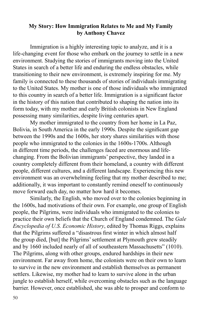## **My Story: How Immigration Relates to Me and My Family by Anthony Chavez**

Immigration is a highly interesting topic to analyze, and it is a life-changing event for those who embark on the journey to settle in a new environment. Studying the stories of immigrants moving into the United States in search of a better life and enduring the endless obstacles, while transitioning to their new environment, is extremely inspiring for me. My family is connected to these thousands of stories of individuals immigrating to the United States. My mother is one of those individuals who immigrated to this country in search of a better life. Immigration is a significant factor in the history of this nation that contributed to shaping the nation into its form today, with my mother and early British colonists in New England possessing many similarities, despite living centuries apart.

My mother immigrated to the country from her home in La Paz, Bolivia, in South America in the early 1990s. Despite the significant gap between the 1990s and the 1600s, her story shares similarities with those people who immigrated to the colonies in the 1600s-1700s. Although in different time periods, the challenges faced are enormous and lifechanging. From the Bolivian immigrants' perspective, they landed in a country completely different from their homeland, a country with different people, different cultures, and a different landscape. Experiencing this new environment was an overwhelming feeling that my mother described to me; additionally, it was important to constantly remind oneself to continuously move forward each day, no matter how hard it becomes.

Similarly, the English, who moved over to the colonies beginning in the 1600s, had motivations of their own. For example, one group of English people, the Pilgrims, were individuals who immigrated to the colonies to practice their own beliefs that the Church of England condemned. The *Gale Encyclopedia of U.S. Economic History*, edited by Thomas Riggs, explains that the Pilgrims suffered a "disastrous first winter in which almost half the group died, [but] the Pilgrims' settlement at Plymouth grew steadily and by 1660 included nearly of all of southeastern Massachusetts" (1010). The Pilgrims, along with other groups, endured hardships in their new environment. Far away from home, the colonists were on their own to learn to survive in the new environment and establish themselves as permanent settlers. Likewise, my mother had to learn to survive alone in the urban jungle to establish herself, while overcoming obstacles such as the language barrier. However, once established, she was able to prosper and conform to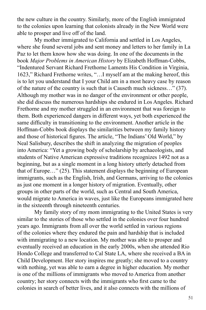the new culture in the country. Similarly, more of the English immigrated to the colonies upon learning that colonists already in the New World were able to prosper and live off of the land.

My mother immigrated to California and settled in Los Angeles, where she found several jobs and sent money and letters to her family in La Paz to let them know how she was doing. In one of the documents in the book *Major Problems in American History* by Elizabeth Hoffman-Cobbs, "Indentured Servant Richard Frethorne Laments His Condition in Virginia, 1623," Richard Frethorne writes, "…I myself am at the making hereof, this is to let you understand that I your Child am in a most heavy case by reason of the nature of the country is such that is Causeth much sickness…" (37). Although my mother was in no danger of the environment or other people, she did discuss the numerous hardships she endured in Los Angeles. Richard Frethorne and my mother struggled in an environment that was foreign to them. Both experienced dangers in different ways, yet both experienced the same difficulty in transitioning to the environment. Another article in the Hoffman-Cobbs book displays the similarities between my family history and those of historical figures. The article, "The Indians' Old World," by Neal Salisbury, describes the shift in analyzing the migration of peoples into America: "Yet a growing body of scholarship by archaeologists, and students of Native American expressive traditions recognizes 1492 not as a beginning, but as a single moment in a long history utterly detached from that of Europe…" (25). This statement displays the beginning of European immigrants, such as the English, Irish, and Germans, arriving to the colonies as just one moment in a longer history of migration. Eventually, other groups in other parts of the world, such as Central and South America, would migrate to America in waves, just like the Europeans immigrated here in the sixteenth through nineteenth centuries.

My family story of my mom immigrating to the United States is very similar to the stories of those who settled in the colonies over four hundred years ago. Immigrants from all over the world settled in various regions of the colonies where they endured the pain and hardship that is included with immigrating to a new location. My mother was able to prosper and eventually received an education in the early 2000s, when she attended Rio Hondo College and transferred to Cal State LA, where she received a BA in Child Development. Her story inspires me greatly; she moved to a country with nothing, yet was able to earn a degree in higher education. My mother is one of the millions of immigrants who moved to America from another country; her story connects with the immigrants who first came to the colonies in search of better lives, and it also connects with the millions of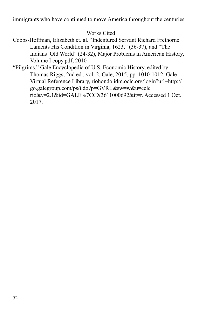immigrants who have continued to move America throughout the centuries.

Works Cited

- Cobbs-Hoffman, Elizabeth et. al. "Indentured Servant Richard Frethorne Laments His Condition in Virginia, 1623," (36-37), and "The Indians' Old World" (24-32), Major Problems in American History, Volume I copy.pdf, 2010
- "Pilgrims." Gale Encyclopedia of U.S. Economic History, edited by Thomas Riggs, 2nd ed., vol. 2, Gale, 2015, pp. 1010-1012. Gale Virtual Reference Library, riohondo.idm.oclc.org/login?url=http:// go.galegroup.com/ps/i.do?p=GVRL&sw=w&u=cclc\_ rio&v=2.1&id=GALE%7CCX3611000692&it=r. Accessed 1 Oct. 2017.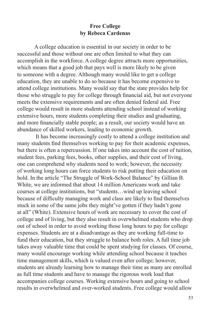# **Free College by Rebeca Cardenas**

A college education is essential in our society in order to be successful and those without one are often limited to what they can accomplish in the workforce. A college degree attracts more opportunities, which means that a good job that pays well is more likely to be given to someone with a degree. Although many would like to get a college education, they are unable to do so because it has become expensive to attend college institutions. Many would say that the state provides help for those who struggle to pay for college through financial aid, but not everyone meets the extensive requirements and are often denied federal aid. Free college would result in more students attending school instead of working extensive hours, more students completing their studies and graduating, and more financially stable people; as a result, our society would have an abundance of skilled workers, leading to economic growth.

 It has become increasingly costly to attend a college institution and many students find themselves working to pay for their academic expenses, but there is often a repercussion. If one takes into account the cost of tuition, student fees, parking fees, books, other supplies, and their cost of living, one can comprehend why students need to work; however, the necessity of working long hours can force students to risk putting their education on hold. In the article "The Struggle of Work-School Balance" by Gillian B. White, we are informed that about 14 million Americans work and take courses at college institutions, but "students…wind up leaving school because of difficulty managing work and class are likely to find themselves stuck in some of the same jobs they might've gotten if they hadn't gone at all" (White). Extensive hours of work are necessary to cover the cost of college and of living, but they also result in overwhelmed students who drop out of school in order to avoid working those long hours to pay for college expenses. Students are at a disadvantage as they are working full-time to fund their education, but they struggle to balance both roles. A full time job takes away valuable time that could be spent studying for classes. Of course, many would encourage working while attending school because it teaches time management skills, which is valued even after college; however, students are already learning how to manage their time as many are enrolled as full time students and have to manage the rigorous work load that accompanies college courses. Working extensive hours and going to school results in overwhelmed and over-worked students. Free college would allow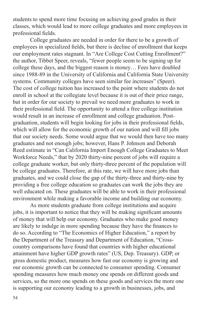students to spend more time focusing on achieving good grades in their classes, which would lead to more college graduates and more employees in professional fields.

College graduates are needed in order for there to be a growth of employees in specialized fields, but there is decline of enrollment that keeps our employment rates stagnant. In "Are College Cost Cutting Enrollment?" the author, Tibbet Speer, reveals, "fewer people seem to be signing up for college these days, and the biggest reason is money… Fees have doubled since 1988-89 in the University of California and California State University systems. Community colleges have seen similar fee increases" (Speer). The cost of college tuition has increased to the point where students do not enroll in school at the collegiate level because it is out of their price range, but in order for our society to prevail we need more graduates to work in their professional field. The opportunity to attend a free college institution would result in an increase of enrollment and college graduation. Postgraduation, students will begin looking for jobs in their professional fields, which will allow for the economic growth of our nation and will fill jobs that our society needs. Some would argue that we would then have too many graduates and not enough jobs; however, Hans P. Johnson and Deborah Reed estimate in "Can California Import Enough College Graduates to Meet Workforce Needs," that by 2020 thirty-nine percent of jobs will require a college graduate worker, but only thirty-three percent of the population will be college graduates. Therefore, at this rate, we will have more jobs than graduates, and we could close the gap of the thirty-three and thirty-nine by providing a free college education so graduates can work the jobs they are well educated on. These graduates will be able to work in their professional environment while making a favorable income and building our economy.

As more students graduate from college institutions and acquire jobs, it is important to notice that they will be making significant amounts of money that will help our economy. Graduates who make good money are likely to indulge in more spending because they have the finances to do so. According to "The Economics of Higher Education," a report by the Department of the Treasury and Department of Education, "Crosscountry comparisons have found that countries with higher educational attainment have higher GDP growth rates" (US, Dep. Treasury). GDP, or gross domestic product, measures how fast our economy is growing and our economic growth can be connected to consumer spending. Consumer spending measures how much money one spends on different goods and services, so the more one spends on these goods and services the more one is supporting our economy leading to a growth in businesses, jobs, and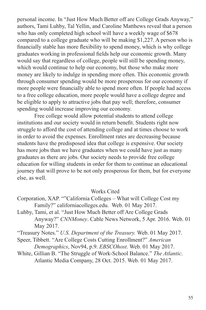personal income. In "Just How Much Better off are College Grads Anyway," authors, Tami Luhby, Tal Yellin, and Caroline Matthews reveal that a person who has only completed high school will have a weekly wage of \$678 compared to a college graduate who will be making \$1,227. A person who is financially stable has more flexibility to spend money, which is why college graduates working in professional fields help our economic growth. Many would say that regardless of college, people will still be spending money, which would continue to help our economy, but those who make more money are likely to indulge in spending more often. This economic growth through consumer spending would be more prosperous for our economy if more people were financially able to spend more often. If people had access to a free college education, more people would have a college degree and be eligible to apply to attractive jobs that pay well; therefore, consumer spending would increase improving our economy.

Free college would allow potential students to attend college institutions and our society would in return benefit. Students right now struggle to afford the cost of attending college and at times choose to work in order to avoid the expenses. Enrollment rates are decreasing because students have the predisposed idea that college is expensive. Our society has more jobs than we have graduates when we could have just as many graduates as there are jobs. Our society needs to provide free college education for willing students in order for them to continue an educational journey that will prove to be not only prosperous for them, but for everyone else, as well.

#### Works Cited

- Corporation, XAP. ""California Colleges What will College Cost my Family?" californiacolleges.edu. Web. 01 May 2017.
- Luhby, Tami, et al. "Just How Much Better off Are College Grads Anyway?" *CNNMoney*. Cable News Network, 5 Apr. 2016. Web. 01 May 2017.

"Treasury Notes." *U.S. Department of the Treasury.* Web. 01 May 2017.

Speer, Tibbett. "Are College Costs Cutting Enrollment?" *American Demographics*, Nov94, p.9. *EBSCOhost*. Web. 01 May 2017.

White, Gillian B. "The Struggle of Work-School Balance." *The Atlantic*. Atlantic Media Company, 28 Oct. 2015. Web. 01 May 2017.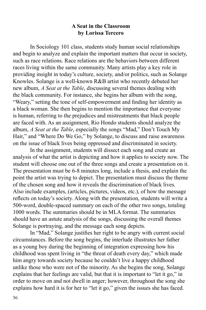## **A Seat in the Classroom by Lorissa Tercero**

In Sociology 101 class, students study human social relationships and begin to analyze and explain the important matters that occur in society, such as race relations. Race relations are the behaviors between different races living within the same community. Many artists play a key role in providing insight in today's culture, society, and/or politics, such as Solange Knowles. Solange is a well-known R&B artist who recently debuted her new album, *A Seat at the Table*, discussing several themes dealing with the black community. For instance, she begins her album with the song, "Weary," setting the tone of self-empowerment and finding her identity as a black woman. She then begins to mention the importance that everyone is human, referring to the prejudices and mistreatments that black people are faced with. As an assignment, Rio Hondo students should analyze the album, *A Seat at the Table*, especially the songs "Mad," Don't Touch My Hair," and "Where Do We Go," by Solange, to discuss and raise awareness on the issue of black lives being oppressed and discriminated in society.

In the assignment, students will dissect each song and create an analysis of what the artist is depicting and how it applies to society now. The student will choose one out of the three songs and create a presentation on it. The presentation must be 6-8 minutes long, include a thesis, and explain the point the artist was trying to depict. The presentation must discuss the theme of the chosen song and how it reveals the discrimination of black lives. Also include examples, (articles, pictures, videos, etc.), of how the message reflects on today's society. Along with the presentation, students will write a 500-word, double-spaced summary on each of the other two songs, totaling 1000 words. The summaries should be in MLA format. The summaries should have an astute analysis of the songs, discussing the overall themes Solange is portraying, and the message each song depicts.

In "Mad," Solange justifies her right to be angry with current social circumstances. Before the song begins, the interlude illustrates her father as a young boy during the beginning of integration expressing how his childhood was spent living in "the threat of death every day," which made him angry towards society because he couldn't live a happy childhood unlike those who were not of the minority. As she begins the song, Solange explains that her feelings are valid, but that it is important to "let it go," in order to move on and not dwell in anger; however, throughout the song she explains how hard it is for her to "let it go," given the issues she has faced.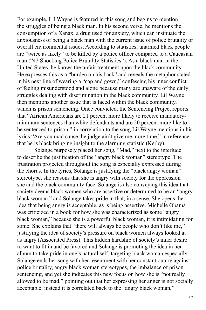For example, Lil Wayne is featured in this song and begins to mention the struggles of being a black man. In his second verse, he mentions the consumption of a Xanax, a drug used for anxiety, which can insinuate the anxiousness of being a black man with the current issue of police brutality or overall environmental issues. According to statistics, unarmed black people are "twice as likely" to be killed by a police officer compared to a Caucasian man ("42 Shocking Police Brutality Statistics"). As a black man in the United States, he knows the unfair treatment upon the black community. He expresses this as a "burden on his back" and reveals the metaphor stated in his next line of wearing a "cap and gown," confessing his inner conflict of feeling misunderstood and alone because many are unaware of the daily struggles dealing with discrimination in the black community. Lil Wayne then mentions another issue that is faced within the black community, which is prison sentencing. Once convicted, the Sentencing Project reports that "African Americans are 21 percent more likely to receive mandatoryminimum sentences than white defendants and are 20 percent more like to be sentenced to prison," in correlation to the song Lil Wayne mentions in his lyrics "Are you mad cause the judge ain't give me more time," in reference that he is black bringing insight to the alarming statistic (Kerby).

Solange purposely placed her song, "Mad," next to the interlude to describe the justification of the "angry black woman" stereotype. The frustration projected throughout the song is especially expressed during the chorus. In the lyrics, Solange is justifying the "black angry woman" stereotype, she reasons that she is angry with society for the oppression she and the black community face. Solange is also conveying this idea that society deems black women who are assertive or determined to be an "angry black woman," and Solange takes pride in that, in a sense. She opens the idea that being angry is acceptable, as is being assertive. Michelle Obama was criticized in a book for how she was characterized as some "angry black woman," because she is a powerful black woman, it is intimidating for some. She explains that "there will always be people who don't like me," justifying the idea of society's pressure on black women always looked at as angry (Associated Press). This hidden hardship of society's inner desire to want to fit in and be favored and Solange is promoting the idea in her album to take pride in one's natural self, targeting black woman especially. Solange ends her song with her resentment with her constant outcry against police brutality, angry black woman stereotypes, the imbalance of prison sentencing, and yet she indicates this new focus on how she is "not really allowed to be mad," pointing out that her expressing her anger is not socially acceptable, instead it is correlated back to the "angry black woman,"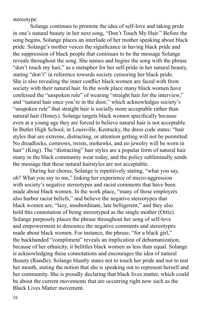stereotype.

Solange continues to promote the idea of self-love and taking pride in one's natural beauty in her next song, "Don't Touch My Hair." Before the song begins, Solange places an interlude of her mother speaking about black pride. Solange's mother voices the significance in having black pride and the suppression of black people that continues to be the message Solange reveals throughout the song. She names and begins the song with the phrase "don't touch my hair," as a metaphor for her self-pride in her natural beauty, stating "don't" in reference towards society censoring her black pride. She is also revealing the inner conflict black women are faced with from society with their natural hair. In the work place many black women have confessed the "unspoken rule" of wearing "straight hair for the interview," and "natural hair once you're in the door," which acknowledges society's "unspoken rule" that straight hair is socially more acceptable rather than natural hair (Honey). Solange targets black women specifically because even at a young age they are forced to believe natural hair is not acceptable. In Butler High School, in Louisville, Kentucky, the dress code states: "hair styles that are extreme, distracting, or attention getting will not be permitted. No dreadlocks, cornrows, twists, mohawks, and no jewelry will be worn in hair" (King). The "distracting" hair styles are a popular form of natural hair many in the black community wear today, and the policy subliminally sends the message that these natural hairstyles are not acceptable.

During her chorus, Solange is repetitively stating, "what you say, oh? What you say to me," linking her experience of micro-aggression with society's negative stereotypes and racist comments that have been made about black women. In the work place, "many of those employers also harbor racist beliefs," and believe the negative stereotypes that black women are, "lazy, insubordinate, late belligerent," and they also hold this connotation of being stereotyped as the single mother (Ortiz). Solange purposely places the phrase throughout her song of self-love and empowerment to denounce the negative comments and stereotypes made about black women. For instance, the phrase, "for a black girl," the backhanded "compliment" reveals an implication of dehumanization, because of her ethnicity, it belittles black women as less than equal. Solange is acknowledging these connotations and encourages the idea of natural Beauty (Randle). Solange bluntly states not to touch her pride and not to test her mouth, stating the notion that she is speaking out to represent herself and her community. She is proudly declaring that black lives matter, which could be about the current movements that are occurring right now such as the Black Lives Matter movement.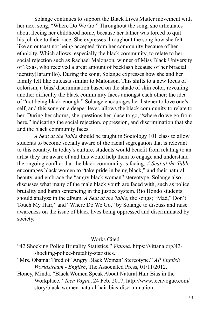Solange continues to support the Black Lives Matter movement with her next song, "Where Do We Go." Throughout the song, she articulates about fleeing her childhood home, because her father was forced to quit his job due to their race. She expresses throughout the song how she felt like an outcast not being accepted from her community because of her ethnicity. Which allows, especially the black community, to relate to her social rejection such as Rachael Malonson, winner of Miss Black University of Texas, who received a great amount of backlash because of her biracial identity(Jaramillo). During the song, Solange expresses how she and her family felt like outcasts similar to Malonson. This shifts to a new focus of colorism, a bias/ discrimination based on the shade of skin color, revealing another difficulty the black community faces amongst each other: the idea of "not being black enough." Solange encourages her listener to love one's self, and this song on a deeper lever, allows the black community to relate to her. During her chorus, she questions her place to go, "where do we go from here," indicating the social rejection, oppression, and discrimination that she and the black community faces.

*A Seat at the Table* should be taught in Sociology 101 class to allow students to become socially aware of the racial segregation that is relevant to this country. In today's culture, students would benefit from relating to an artist they are aware of and this would help them to engage and understand the ongoing conflict that the black community is facing. *A Seat at the Table* encourages black women to "take pride in being black," and their natural beauty, and embrace the "angry black woman" stereotype. Solange also discusses what many of the male black youth are faced with, such as police brutality and harsh sentencing in the justice system. Rio Hondo students should analyze in the album, *A Seat at the Table*, the songs; "Mad," Don't Touch My Hair," and "Where Do We Go," by Solange to discuss and raise awareness on the issue of black lives being oppressed and discriminated by society.

#### Works Cited

- "42 Shocking Police Brutality Statistics." *Vittana*, https://vittana.org/42 shocking-police-brutality-statistics.
- "Mrs. Obama: Tired of 'Angry Black Woman' Stereotype." *AP English Worldstream - English*, The Associated Press, 01/11/2012.
- Honey, Minda. "Black Women Speak About Natural Hair Bias in the Workplace." *Teen Vogue*, 24 Feb. 2017, http://www.teenvogue.com/ story/black-women-natural-hair-bias-discrimination.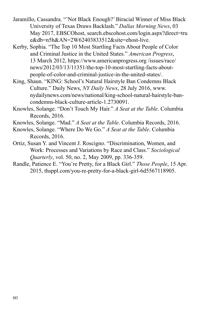- Jaramillo, Cassandra. "'Not Black Enough?' Biracial Winner of Miss Black University of Texas Draws Backlash." *Dallas Morning News*, 03 May 2017, EBSCOhost, search.ebscohost.com/login.aspx?direct=tru e&db=n5h&AN=2W62403833512&site=ehost-live.
- Kerby, Sophia. "The Top 10 Most Startling Facts About People of Color and Criminal Justice in the United States." *American Progress*, 13 March 2012, https://www.americanprogress.org /issues/race/ news/2012/03/13/11351/the-top-10-most-startling-facts-aboutpeople-of-color-and-criminal-justice-in-the-united-states/.
- King, Shaun. "KING: School's Natural Hairstyle Ban Condemns Black Culture." Daily News, *NY Daily News*, 28 July 2016, www. nydailynews.com/news/national/king-school-natural-hairstyle-bancondemns-black-culture-article-1.2730091.
- Knowles, Solange. "Don't Touch My Hair." *A Seat at the Table*. Columbia Records, 2016.
- Knowles, Solange. "Mad." *A Seat at the Table*. Columbia Records, 2016.
- Knowles, Solange. "Where Do We Go." *A Seat at the Table*. Columbia Records, 2016.
- Ortiz, Susan Y. and Vincent J. Roscigno. "Discrimination, Women, and Work: Processes and Variations by Race and Class." *Sociological Quarterly*, vol. 50, no. 2, May 2009, pp. 336-359.
- Randle, Patience E. "You're Pretty, for a Black Girl." *Those People*, 15 Apr. 2015, thsppl.com/you-re-pretty-for-a-black-girl-6d5567118905.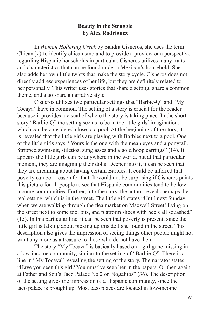## **Beauty in the Struggle by Alex Rodriguez**

In *Woman Hollering Creek* by Sandra Cisneros, she uses the term Chican $\{x\}$  to identify chicanismo and to provide a preview or a perspective regarding Hispanic households in particular. Cisneros utilizes many traits and characteristics that can be found under a Mexican's household. She also adds her own little twists that make the story cycle. Cisneros does not directly address experiences of her life, but they are definitely related to her personally. This writer uses stories that share a setting, share a common theme, and also share a narrative style.

Cisneros utilizes two particular settings that "Barbie-Q" and "My Tocaya" have in common. The setting of a story is crucial for the reader because it provides a visual of where the story is taking place. In the short story "Barbie-Q" the setting seems to be in the little girls' imagination, which can be considered close to a pool. At the beginning of the story, it is revealed that the little girls are playing with Barbies next to a pool. One of the little girls says, "Yours is the one with the mean eyes and a ponytail. Stripped swimsuit, stilettos, sunglasses and a gold hoop earrings" (14). It appears the little girls can be anywhere in the world, but at that particular moment, they are imagining their dolls. Deeper into it, it can be seen that they are dreaming about having certain Barbies. It could be inferred that poverty can be a reason for that. It would not be surprising if Cisneros paints this picture for all people to see that Hispanic communities tend to be lowincome communities. Further, into the story, the author reveals perhaps the real setting, which is in the street. The little girl states "Until next Sunday when we are walking through the flea market on Maxwell Street! Lying on the street next to some tool bits, and platform shoes with heels all squashed" (15). In this particular line, it can be seen that poverty is present, since the little girl is talking about picking up this doll she found in the street. This description also gives the impression of seeing things other people might not want any more as a treasure to those who do not have them.

The story "My Tocaya" is basically based on a girl gone missing in a low-income community, similar to the setting of "Barbie-Q". There is a line in "My Tocaya" revealing the setting of the story. The narrator states "Have you seen this girl? You must've seen her in the papers. Or then again at Father and Son's Taco Palace No.2 on Nogalitos" (36). The description of the setting gives the impression of a Hispanic community, since the taco palace is brought up. Most taco places are located in low-income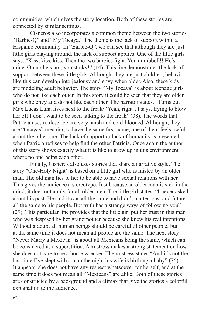communities, which gives the story location. Both of these stories are connected by similar settings.

Cisneros also incorporates a common theme between the two stories "Barbie-Q" and "My Tocaya." The theme is the lack of support within a Hispanic community. In "Barbie-Q", we can see that although they are just little girls playing around, the lack of support applies. One of the little girls says. "Kiss, kiss, kiss. Then the two barbies fight. You dumbbell!! He's mine. Oh no he's not, you stinky!" (14). This line demonstrates the lack of support between these little girls. Although, they are just children, behavior like this can develop into jealousy and envy when older. Also, these kids are modeling adult behavior. The story "My Tocaya" is about teenage girls who do not like each other. In this story it could be seen that they are older girls who envy and do not like each other. The narrator states, "Turns out Max Lucas Luna lives next to the freak/ 'Yeah, right', I says, trying to blow her off I don't want to be seen talking to the freak" (38). The words that Patricia uses to describe are very harsh and cold-blooded. Although, they are "tocayas" meaning to have the same first name, one of them feels awful about the other one. The lack of support or lack of humanity is presented when Patricia refuses to help find the other Patricia. Once again the author of this story shows exactly what it is like to grow up in this environment where no one helps each other.

Finally, Cisneros also uses stories that share a narrative style. The story "One-Holy Night" is based on a little girl who is misled by an older man. The old man lies to her to be able to have sexual relations with her. This gives the audience a stereotype. Just because an older man is sick in the mind, it does not apply for all older men. The little girl states, "I never asked about his past. He said it was all the same and didn't matter, past and future all the same to his people. But truth has a strange ways of following you" (29). This particular line provides that the little girl put her trust in this man who was despised by her grandmother because she knew his real intentions. Without a doubt all human beings should be careful of other people, but at the same time it does not mean all people are the same. The next story "Never Marry a Mexican" is about all Mexicans being the same, which can be considered as a superstition. A mistress makes a strong statement on how she does not care to be a home wrecker. The mistress states "And it's not the last time I've slept with a man the night his wife is birthing a baby" (76). It appears, she does not have any respect whatsoever for herself, and at the same time it does not mean all "Mexicans" are alike. Both of these stories are constructed by a background and a climax that give the stories a colorful explanation to the audience.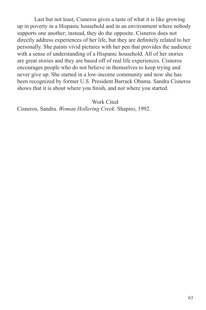Last but not least, Cisneros gives a taste of what it is like growing up in poverty in a Hispanic household and in an environment where nobody supports one another; instead, they do the opposite. Cisneros does not directly address experiences of her life, but they are definitely related to her personally. She paints vivid pictures with her pen that provides the audience with a sense of understanding of a Hispanic household. All of her stories are great stories and they are based off of real life experiences. Cisneros encourages people who do not believe in themselves to keep trying and never give up. She started in a low-income community and now she has been recognized by former U.S. President Barrack Obama. Sandra Cisneros shows that it is about where you finish, and not where you started.

Work Cited

Cisneros, Sandra. *Woman Hollering Creek*. Shapiro, 1992.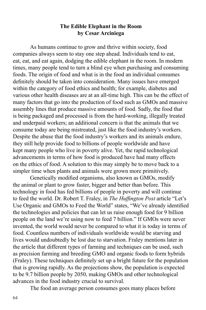# **The Edible Elephant in the Room by Cesar Arciniega**

As humans continue to grow and thrive within society, food companies always seem to stay one step ahead. Individuals tend to eat, eat, eat, and eat again, dodging the edible elephant in the room. In modern times, many people tend to turn a blind eye when purchasing and consuming foods. The origin of food and what is in the food an individual consumes definitely should be taken into consideration. Many issues have emerged within the category of food ethics and health; for example, diabetes and various other health diseases are at an all-time high. This can be the effect of many factors that go into the production of food such as GMOs and massive assembly lines that produce massive amounts of food. Sadly, the food that is being packaged and processed is from the hard-working, illegally treated and underpaid workers; an additional concern is that the animals that we consume today are being mistreated, just like the food industry's workers. Despite the abuse that the food industry's workers and its animals endure, they still help provide food to billions of people worldwide and have kept many people who live in poverty alive. Yet, the rapid technological advancements in terms of how food is produced have had many effects on the ethics of food. A solution to this may simply be to move back to a simpler time when plants and animals were grown more primitively.

Genetically modified organisms, also known as GMOs, modify the animal or plant to grow faster, bigger and better than before. This technology in food has fed billions of people in poverty and will continue to feed the world. Dr. Robert T. Fraley, in *The Huffington Post* article "Let's Use Organic and GMOs to Feed the World" states, "We've already identified the technologies and policies that can let us raise enough food for 9 billion people on the land we're using now to feed 7 billion." If GMOs were never invented, the world would never be compared to what it is today in terms of food. Countless numbers of individuals worldwide would be starving and lives would undoubtedly be lost due to starvation. Fraley mentions later in the article that different types of farming and techniques can be used, such as precision farming and breeding GMO and organic foods to form hybrids (Fraley). These techniques definitely set up a bright future for the population that is growing rapidly. As the projections show, the population is expected to be 9.7 billion people by 2050, making GMOs and other technological advances in the food industry crucial to survival.

The food an average person consumes goes many places before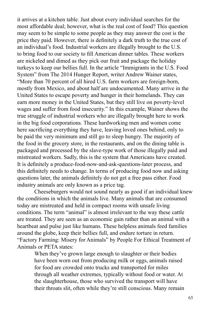it arrives at a kitchen table. Just about every individual searches for the most affordable deal; however, what is the real cost of food? This question may seem to be simple to some people as they may answer the cost is the price they paid. However, there is definitely a dark truth to the true cost of an individual's food. Industrial workers are illegally brought to the U.S. to bring food to our society to fill American dinner tables. These workers are nickeled and dimed as they pick our fruit and package the holiday turkeys to keep our bellies full. In the article "Immigrants in the U.S. Food System" from The 2014 Hunger Report, writer Andrew Wainer states, "More than 70 percent of all hired U.S. farm workers are foreign-born, mostly from Mexico, and about half are undocumented. Many arrive in the United States to escape poverty and hunger in their homelands. They can earn more money in the United States, but they still live on poverty-level wages and suffer from food insecurity." In this example, Wainer shows the true struggle of industrial workers who are illegally brought here to work in the big food corporations. These hardworking men and women come here sacrificing everything they have, leaving loved ones behind, only to be paid the very minimum and still go to sleep hungry. The majority of the food in the grocery store, in the restaurants, and on the dining table is packaged and processed by the slave-type work of those illegally paid and mistreated workers. Sadly, this is the system that Americans have created. It is definitely a produce-food-now-and-ask-questions-later process, and this definitely needs to change. In terms of producing food now and asking questions later, the animals definitely do not get a free pass either. Food industry animals are only known as a price tag.

Cheeseburgers would not sound nearly as good if an individual knew the conditions in which the animals live. Many animals that are consumed today are mistreated and held in compact rooms with unsafe living conditions. The term "animal" is almost irrelevant to the way these cattle are treated. They are seen as an economic gain rather than an animal with a heartbeat and pulse just like humans. These helpless animals feed families around the globe, keep their bellies full, and endure torture in return. "Factory Farming: Misery for Animals" by People For Ethical Treatment of Animals or PETA states:

When they've grown large enough to slaughter or their bodies have been worn out from producing milk or eggs, animals raised for food are crowded onto trucks and transported for miles through all weather extremes, typically without food or water. At the slaughterhouse, those who survived the transport will have their throats slit, often while they're still conscious. Many remain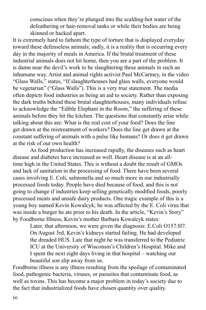conscious when they're plunged into the scalding-hot water of the defeathering or hair-removal tanks or while their bodies are being skinned or hacked apart.

It is extremely hard to fathom the type of torture that is displayed everyday toward these defenseless animals; sadly, it is a reality that is occurring every day in the majority of meals in America. If the brutal treatment of these industrial animals does not hit home, then you are a part of the problem. It is damn near the devil's work to be slaughtering these animals in such an inhumane way. Artist and animal rights activist Paul McCartney, in the video "Glass Walls," states, "If slaughterhouses had glass walls, everyone would be vegetarian" ("Glass Walls"). This is a very true statement. The media often depicts food industries as being an aid to society. Rather than exposing the dark truths behind these brutal slaughterhouses, many individuals refuse to acknowledge the "Edible Elephant in the Room," the suffering of these animals before they hit the kitchen. The questions that constantly arise while talking about this are: What is the real cost of your food? Does the line get drawn at the mistreatment of workers? Does the line get drawn at the constant suffering of animals with a pulse like humans? Or does it get drawn at the risk of our own health?

As food production has increased rapidly, the diseases such as heart disease and diabetes have increased as well. Heart disease is at an alltime high in the United States. This is without a doubt the result of GMOs and lack of sanitation in the processing of food. There have been several cases involving E. Coli, salmonella and so much more in our industrially processed foods today. People have died because of food, and this is not going to change if industries keep selling genetically modified foods, poorly processed meats and unsafe dairy products. One tragic example of this is a young boy named Kevin Kowalcyk; he was affected by the E. Coli virus that was inside a burger he ate prior to his death. In the article, "Kevin's Story" by Foodborne Illness, Kevin's mother Barbara Kowalcyk states:

Later, that afternoon, we were given the diagnosis: E.Coli O157:H7. On August 3rd, Kevin's kidneys started failing. He had developed the dreaded HUS. Late that night he was transferred to the Pediatric ICU at the University of Wisconsin's Children's Hospital. Mike and I spent the next eight days living in that hospital – watching our beautiful son slip away from us.

Foodborne illness is any illness resulting from the spoilage of contaminated food, pathogenic bacteria, viruses, or parasites that contaminate food, as well as toxins. This has become a major problem in today's society due to the fact that industrialized foods have chosen quantity over quality.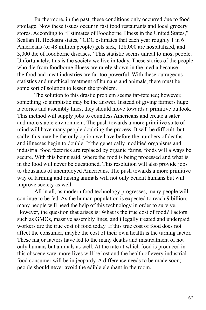Furthermore, in the past, these conditions only occurred due to food spoilage. Now these issues occur in fast food restaurants and local grocery stores. According to "Estimates of Foodborne Illness in the United States," Scallan H. Hoekstra states, "CDC estimates that each year roughly 1 in 6 Americans (or 48 million people) gets sick, 128,000 are hospitalized, and 3,000 die of foodborne diseases." This statistic seems unreal to most people. Unfortunately, this is the society we live in today. These stories of the people who die from foodborne illness are rarely shown in the media because the food and meat industries are far too powerful. With these outrageous statistics and unethical treatment of humans and animals, there must be some sort of solution to lessen the problem.

The solution to this drastic problem seems far-fetched; however, something so simplistic may be the answer. Instead of giving farmers huge factories and assembly lines, they should move towards a primitive outlook. This method will supply jobs to countless Americans and create a safer and more stable environment. The push towards a more primitive state of mind will have many people doubting the process. It will be difficult, but sadly, this may be the only option we have before the numbers of deaths and illnesses begin to double. If the genetically modified organisms and industrial food factories are replaced by organic farms, foods will always be secure. With this being said, where the food is being processed and what is in the food will never be questioned. This resolution will also provide jobs to thousands of unemployed Americans. The push towards a more primitive way of farming and raising animals will not only benefit humans but will improve society as well.

All in all, as modern food technology progresses, many people will continue to be fed. As the human population is expected to reach 9 billion, many people will need the help of this technology in order to survive. However, the question that arises is: What is the true cost of food? Factors such as GMOs, massive assembly lines, and illegally treated and underpaid workers are the true cost of food today. If this true cost of food does not affect the consumer, maybe the cost of their own health is the turning factor. These major factors have led to the many deaths and mistreatment of not only humans but animals as well. At the rate at which food is produced in this obscene way, more lives will be lost and the health of every industrial food consumer will be in jeopardy. A difference needs to be made soon; people should never avoid the edible elephant in the room.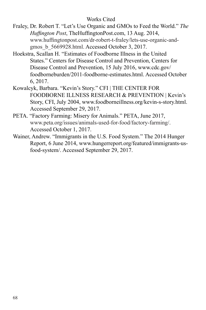# Works Cited

- Fraley, Dr. Robert T. "Let's Use Organic and GMOs to Feed the World." *The Huffington Post*, TheHuffingtonPost.com, 13 Aug. 2014, www.huffingtonpost.com/dr-robert-t-fraley/lets-use-organic-andgmos\_b\_5669928.html. Accessed October 3, 2017.
- Hoekstra, Scallan H. "Estimates of Foodborne Illness in the United States." Centers for Disease Control and Prevention, Centers for Disease Control and Prevention, 15 July 2016, www.cdc.gov/ foodborneburden/2011-foodborne-estimates.html. Accessed October 6, 2017.
- Kowalcyk, Barbara. "Kevin's Story." CFI | THE CENTER FOR FOODBORNE ILLNESS RESEARCH & PREVENTION | Kevin's Story, CFI, July 2004, www.foodborneillness.org/kevin-s-story.html. Accessed September 29, 2017.
- PETA. "Factory Farming: Misery for Animals." PETA, June 2017, www.peta.org/issues/animals-used-for-food/factory-farming/. Accessed October 1, 2017.
- Wainer, Andrew. "Immigrants in the U.S. Food System." The 2014 Hunger Report, 6 June 2014, www.hungerreport.org/featured/immigrants-usfood-system/. Accessed September 29, 2017.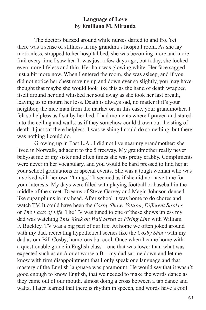## **Language of Love by Emiliano M. Miranda**

The doctors buzzed around while nurses darted to and fro. Yet there was a sense of stillness in my grandma's hospital room. As she lay motionless, strapped to her hospital bed, she was becoming more and more frail every time I saw her. It was just a few days ago, but today, she looked even more lifeless and thin. Her hair was glowing white. Her face sagged just a bit more now. When I entered the room, she was asleep, and if you did not notice her chest moving up and down ever so slightly, you may have thought that maybe she would look like this as the hand of death wrapped itself around her and whisked her soul away as she took her last breath, leaving us to mourn her loss. Death is always sad, no matter if it's your neighbor, the nice man from the market or, in this case, your grandmother. I felt so helpless as I sat by her bed. I had moments where I prayed and stared into the ceiling and walls, as if they somehow could drown out the sting of death. I just sat there helpless. I was wishing I could do something, but there was nothing I could do.

Growing up in East L.A., I did not live near my grandmother; she lived in Norwalk, adjacent to the 5 freeway. My grandmother really never babysat me or my sister and often times she was pretty crabby. Compliments were never in her vocabulary, and you would be hard pressed to find her at your school graduations or special events. She was a tough woman who was involved with her own "things." It seemed as if she did not have time for your interests. My days were filled with playing football or baseball in the middle of the street. Dreams of Steve Garvey and Magic Johnson danced like sugar plums in my head. After school it was home to do chores and watch TV. It could have been the *Cosby Show*, *Voltron*, *Different Strokes* or *The Facts of Life*. The TV was tuned to one of these shows unless my dad was watching *This Week on Wall Street* or *Firing Line* with William F. Buckley. TV was a big part of our life. At home we often joked around with my dad, recreating hypothetical scenes like the *Cosby Show* with my dad as our Bill Cosby, humorous but cool. Once when I came home with a questionable grade in English class—one that was lower than what was expected such as an A or at worse a B—my dad sat me down and let me know with firm disappointment that I only speak one language and that mastery of the English language was paramount. He would say that it wasn't good enough to know English, that we needed to make the words dance as they came out of our mouth, almost doing a cross between a tap dance and waltz. I later learned that there is rhythm in speech, and words have a cool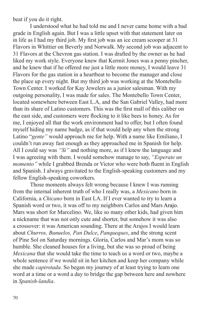beat if you do it right.

I understood what he had told me and I never came home with a bad grade in English again. But I was a little upset with that statement later on in life as I had my third job. My first job was an ice cream scooper at 31 Flavors in Whittier on Beverly and Norwalk. My second job was adjacent to 31 Flavors at the Chevron gas station. I was drafted by the owner as he had liked my work style. Everyone knew that Kermit Jones was a penny pincher, and he knew that if he offered me just a little more money, I would leave 31 Flavors for the gas station in a heartbeat to become the manager and close the place up every night. But my third job was working at the Montebello Town Center. I worked for Kay Jewelers as a junior salesman. With my outgoing personality, I was made for sales. The Montebello Town Center, located somewhere between East L.A, and the San Gabriel Valley, had more than its share of Latino customers. This was the first mall of this caliber on the east side, and customers were flocking to it like bees to honey. As for me, I enjoyed all that the work environment had to offer, but I often found myself hiding my name badge, as if that would help any when the strong Latino "*gente"* would approach me for help. With a name like Emiliano, I couldn't run away fast enough as they approached me in Spanish for help. All I could say was *"Si"* and nothing more, as if I knew the language and I was agreeing with them. I would somehow manage to say, *"Esperate un momento*" while I grabbed Brenda or Victor who were both fluent in English and Spanish. I always gravitated to the English-speaking customers and my fellow English-speaking coworkers.

Those moments always felt wrong because I knew I was running from the internal inherent truth of who I really was, a *Mexicano* born in California, a *Chicano* born in East LA. If I ever wanted to try to learn a Spanish word or two, it was off to my neighbors Carlos and Mars Arajo. Mars was short for Marcelino. We, like so many other kids, had given him a nickname that was not only cute and shorter, but somehow it was also a crossover: it was American sounding. There at the Arajos I would learn about *Churros, Bunuelos, Pan Dulce*, *Panqueques*, and the strong scent of Pine Sol on Saturday mornings. Gloria, Carlos and Mar's mom was so humble. She cleaned houses for a living, but she was so proud of being *Mexicana* that she would take the time to teach us a word or two, maybe a whole sentence if we would sit in her kitchen and keep her company while she made *capirotada*. So began my journey of at least trying to learn one word at a time or a word a day to bridge the gap between here and nowhere in *Spanish-landia*.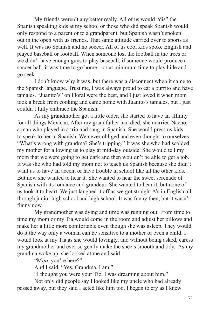My friends weren't any better really. All of us would "dis" the Spanish speaking kids at my school or those who did speak Spanish would only respond to a parent or to a grandparent, but Spanish wasn't spoken out in the open with us friends. That same attitude carried over to sports as well. It was no Spanish and no soccer. All of us cool kids spoke English and played baseball or football. When someone lost the football in the trees or we didn't have enough guys to play baseball, if someone would produce a soccer ball, it was time to go home—or at minimum time to play hide and go seek.

I don't know why it was, but there was a disconnect when it came to the Spanish language. Trust me, I was always proud to eat a burrito and have tamales. "Juanito's" on Floral were the best, and I just loved it when mom took a break from cooking and came home with Juanito's tamales, but I just couldn't fully embrace the Spanish.

As my grandmother got a little older, she started to have an affinity for all things Mexican. After my grandfather had died, she married Nacho, a man who played in a trio and sang in Spanish. She would press us kids to speak to her in Spanish. We never obliged and even thought to ourselves "What's wrong with grandma? She's tripping." It was she who had scolded my mother for allowing us to play at mid-day outside. She would tell my mom that we were going to get dark and then wouldn't be able to get a job. It was she who had told my mom not to teach us Spanish because she didn't want us to have an accent or have trouble in school like all the other kids. But now she wanted to hear it. She wanted to hear the sweet serenade of Spanish with its romance and grandeur. She wanted to hear it, but none of us took it to heart. We just laughed it off as we got straight A's in English all through junior high school and high school. It was funny then, but it wasn't funny now.

My grandmother was dying and time was running out. From time to time my mom or my Tía would come in the room and adjust her pillows and make her a little more comfortable even though she was asleep. They would do it the way only a woman can be sensitive to a mother or even a child. I would look at my Tía as she would lovingly, and without being asked, caress my grandmother and ever so gently make the sheets smooth and tidy. As my grandma woke up, she looked at me and said,

"M*ijo*, you're here?"

And I said, "Yes, Grandma, I am."

"I thought you were your Tío. I was dreaming about him."

Not only did people say I looked like my uncle who had already passed away, but they said I acted like him too. I began to cry as I knew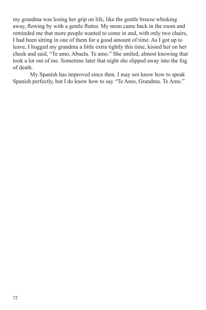my grandma was losing her grip on life, like the gentle breeze whisking away, flowing by with a gentle flutter. My mom came back in the room and reminded me that more people wanted to come in and, with only two chairs, I had been sitting in one of them for a good amount of time. As I got up to leave, I hugged my grandma a little extra tightly this time, kissed her on her cheek and said, "Te amo, Abuela. Te amo." She smiled, almost knowing that took a lot out of me. Sometime later that night she slipped away into the fog of death.

My Spanish has improved since then. I may not know how to speak Spanish perfectly, but I do know how to say "Te Amo, Grandma. Te Amo."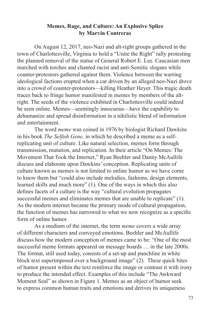#### **Memes, Rage, and Culture: An Explosive Splice by Marvin Contreras**

On August 12, 2017, neo-Nazi and alt-right groups gathered in the town of Charlottesville, Virginia to hold a "Unite the Right" rally protesting the planned removal of the statue of General Robert E. Lee. Caucasian men marched with torches and chanted racist and anti-Semitic slogans while counter-protestors gathered against them. Violence between the warring ideological factions erupted when a car driven by an alleged neo-Nazi drove into a crowd of counter-protestors—killing Heather Heyer. This tragic death traces back to fringe humor manifested in memes by members of the altright. The seeds of the violence exhibited in Charlottesville could indeed be seen online. Memes—seemingly innocuous—have the capability to dehumanize and spread disinformation in a nihilistic blend of information and entertainment.

The word *meme* was coined in 1976 by biologist Richard Dawkins in his book *The Selfish Gene,* in which he described a meme as a selfreplicating unit of culture. Like natural selection, memes form through transmission, mutation, and replication. In their article "On Memes: The Movement That Took the Internet," Ryan Beehler and Danny McAullife discuss and elaborate upon Dawkins' conception. Replicating units of culture known as memes is not limited to online humor as we have come to know them but "could also include melodies, fashions, design elements, learned skills and much more" (1). One of the ways in which this also defines facets of a culture is the way "cultural evolution propagates successful memes and eliminates memes that are unable to replicate" (1). As the modern internet became the primary mode of cultural propagation, the function of memes has narrowed to what we now recognize as a specific form of online humor.

As a medium of the internet, the term *meme* covers a wide array of different characters and conveyed emotions. Beehler and McAullife discuss how the modern conception of memes came to be: "One of the most successful meme formats appeared on message boards … in the late 2000s. The format, still used today, consists of a set-up and punchline in white block text superimposed over a background image" (2). These quick bites of humor present within the text reinforce the image or contrast it with irony to produce the intended effect. Examples of this include "The Awkward Moment Seal" as shown in Figure 1. Memes as an object of humor seek to express common human traits and emotions and derives its uniqueness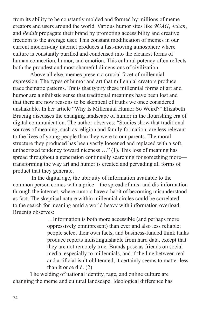from its ability to be constantly molded and formed by millions of meme creators and users around the world. Various humor sites like *9GAG*, *4chan*, and *Reddit* propagate their brand by promoting accessibility and creative freedom to the average user. This constant modification of memes in our current modern-day internet produces a fast-moving atmosphere where culture is constantly purified and condensed into the cleanest forms of human connection, humor, and emotion. This cultural potency often reflects both the proudest and most shameful dimensions of civilization.

Above all else, memes present a crucial facet of millennial expression. The types of humor and art that millennial creators produce trace thematic patterns. Traits that typify these millennial forms of art and humor are a nihilistic sense that traditional meanings have been lost and that there are now reasons to be skeptical of truths we once considered unshakable. In her article "Why Is Millennial Humor So Weird?" Elizabeth Bruenig discusses the changing landscape of humor in the flourishing era of digital communication. The author observes: "Studies show that traditional sources of meaning, such as religion and family formation, are less relevant to the lives of young people than they were to our parents. The moral structure they produced has been vastly loosened and replaced with a soft, untheorized tendency toward niceness …" (1). This loss of meaning has spread throughout a generation continually searching for something more transforming the way art and humor is created and pervading all forms of product that they generate.

 In the digital age, the ubiquity of information available to the common person comes with a price—the spread of mis- and dis-information through the internet, where rumors have a habit of becoming misunderstood as fact. The skeptical nature within millennial circles could be correlated to the search for meaning amid a world heavy with information overload. Bruenig observes:

> …Information is both more accessible (and perhaps more oppressively omnipresent) than ever and also less reliable; people select their own facts, and business-funded think tanks produce reports indistinguishable from hard data, except that they are not remotely true. Brands pose as friends on social media, especially to millennials, and if the line between real and artificial isn't obliterated, it certainly seems to matter less than it once did. (2)

The welding of national identity, rage, and online culture are changing the meme and cultural landscape. Ideological difference has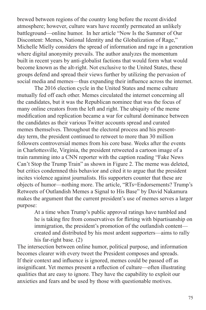brewed between regions of the country long before the recent divided atmosphere; however, culture wars have recently permeated an unlikely battleground—online humor. In her article "Now Is the Summer of Our Discontent: Memes, National Identity and the Globalization of Rage," Michelle Mielly considers the spread of information and rage in a generation where digital anonymity prevails. The author analyzes the momentum built in recent years by anti-globalist factions that would form what would become known as the alt-right. Not exclusive to the United States, these groups defend and spread their views further by utilizing the pervasion of social media and memes—thus expanding their influence across the internet.

The 2016 election cycle in the United States and meme culture mutually fed off each other. Memes circulated the internet concerning all the candidates, but it was the Republican nominee that was the focus of many online creators from the left and right. The ubiquity of the meme modification and replication became a war for cultural dominance between the candidates as their various Twitter accounts spread and curated memes themselves. Throughout the electoral process and his presentday term, the president continued to retweet to more than 30 million followers controversial memes from his core base. Weeks after the events in Charlottesville, Virginia, the president retweeted a cartoon image of a train ramming into a CNN reporter with the caption reading "Fake News Can't Stop the Trump Train" as shown in Figure 2. The meme was deleted, but critics condemned this behavior and cited it to argue that the president incites violence against journalists. His supporters counter that these are objects of humor—nothing more. The article, "RTs=Endorsements? Trump's Retweets of Outlandish Memes a Signal to His Base" by David Nakamura makes the argument that the current president's use of memes serves a larger purpose:

At a time when Trump's public approval ratings have tumbled and he is taking fire from conservatives for flirting with bipartisanship on immigration, the president's promotion of the outlandish content created and distributed by his most ardent supporters—aims to rally his far-right base. (2)

The intersection between online humor, political purpose, and information becomes clearer with every tweet the President composes and spreads. If their context and influence is ignored, memes could be passed off as insignificant. Yet memes present a reflection of culture—often illustrating qualities that are easy to ignore. They have the capability to exploit our anxieties and fears and be used by those with questionable motives.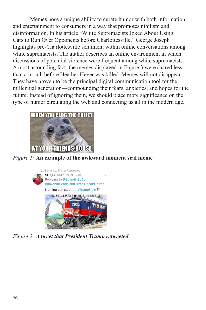Memes pose a unique ability to curate humor with both information and entertainment to consumers in a way that promotes nihilism and disinformation. In his article "White Supremacists Joked About Using Cars to Run Over Opponents before Charlottesville," George Joseph highlights pre-Charlottesville sentiment within online conversations among white supremacists. The author describes an online environment in which discussions of potential violence were frequent among white supremacists. A most astounding fact, the memes displayed in Figure 3 were shared less than a month before Heather Heyer was killed. Memes will not disappear. They have proven to be the principal digital communication tool for the millennial generation—compounding their fears, anxieties, and hopes for the future. Instead of ignoring them, we should place more significance on the type of humor circulating the web and connecting us all in the modern age.



*Figure 1:* **An example of the awkward moment seal meme**



*Figure 2: A tweet that President Trump retweeted*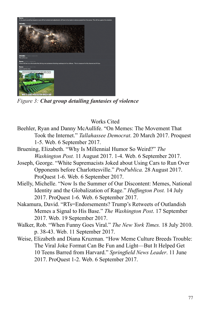

*Figure 3: Chat group detailing fantasies of violence* 

# Works Cited

- Beehler, Ryan and Danny McAullife. "On Memes: The Movement That Took the Internet." *Tallahassee Democrat*. 20 March 2017. Proquest 1-5. Web. 6 September 2017.
- Bruening, Elizabeth. "Why Is Millennial Humor So Weird?" *The Washington Post.* 11 August 2017. 1-4. Web. 6 September 2017.
- Joseph, George. "White Supremacists Joked about Using Cars to Run Over Opponents before Charlottesville." *ProPublica.* 28 August 2017. ProQuest 1-6. Web. 6 September 2017.
- Mielly, Michelle. "Now Is the Summer of Our Discontent: Memes, National Identity and the Globalization of Rage." *Huffington Post.* 14 July 2017. ProQuest 1-6. Web. 6 September 2017.
- Nakamura, David. "RTs=Endorsements? Trump's Retweets of Outlandish Memes a Signal to His Base." *The Washington Post*. 17 September 2017. Web. 19 September 2017.
- Walker, Rob. "When Funny Goes Viral." *The New York Times.* 18 July 2010. p. 38-43. Web. 11 September 2017.
- Weise, Elizabeth and Diana Kruzman. "How Meme Culture Breeds Trouble: The Viral Joke Format Can Be Fun and Light—But It Helped Get 10 Teens Barred from Harvard." *Springfield News Leader*. 11 June 2017. ProQuest 1-2. Web. 6 September 2017.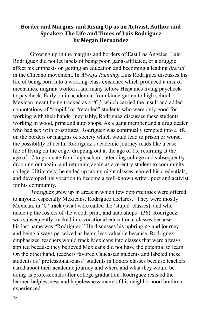## **Border and Margins, and Rising Up as an Activist, Author, and Speaker: The Life and Times of Luis Rodriguez by Megan Hernandez**

Growing up in the margins and borders of East Los Angeles, Luis Rodruguez did not let labels of being poor, gang-affiliated, or a druggie affect his emphasis on getting an education and becoming a leading *literati* in the Chicano movement. In *Always Running*, Luis Rodriguez discusses his life of being born into a working-class existence which produced a mix of mechanics, migrant workers, and many fellow Hispanics living paycheckto-paycheck. Early on in academia, from kindergarten to high school, Mexican meant being tracked as a "C," which carried the insult and added connotations of "stupid" or "retarded" students who were only good for working with their hands: inevitably, Rodriguez discusses these students working in wood, print and auto shops. As a gang member and a drug dealer who had sex with prostitutes, Rodriguez was continually tempted into a life on the borders or margins of society which would lead to prison or worse, the possibility of death. Rodriguez's academic journey reads like a case file of living on the edge: dropping out at the age of 15, returning at the age of 17 to graduate from high school, attending college and subsequently dropping out again, and returning again as a re-entry student to community college. Ultimately, he ended up taking night classes, earned his credentials, and developed his vocation to become a well-known writer, poet and activist for his community.

Rodriguez grew up in areas in which few opportunities were offered to anyone, especially Mexicans. Rodriguez declares, "They were mostly Mexican, in 'C' track (what were called the 'stupid' classes), and who made up the rosters of the wood, print, and auto shops" (36). Rodriguez was subsequently tracked into vocational educational classes because his last name was "Rodriguez." He discusses his upbringing and journey and being always perceived as being less valuable because, Rodriguez emphasizes, teachers would track Mexicans into classes that were always applied because they believed Mexicans did not have the potential to learn. On the other hand, teachers favored Caucasian students and labeled these students as "professional-class" students in honors classes because teachers cared about their academic journey and where and what they would be doing as professionals after college graduation. Rodriguez resisted the learned helplessness and hopelessness many of his neighborhood brethren experienced.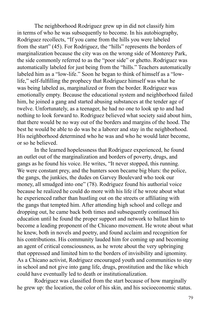The neighborhood Rodriguez grew up in did not classify him in terms of who he was subsequently to become. In his autobiography, Rodriguez recollects, "If you came from the hills you were labeled from the start" (45). For Rodriguez, the "hills" represents the borders of marginalization because the city was on the wrong side of Monterey Park, the side commonly referred to as the "poor side" or ghetto. Rodriguez was automatically labeled for just being from the "hills." Teachers automatically labeled him as a "low-life." Soon he began to think of himself as a "lowlife," self-fulfilling the prophecy that Rodriguez himself was what he was being labeled as, marginalized or from the border. Rodriguez was emotionally empty. Because the educational system and neighborhood failed him, he joined a gang and started abusing substances at the tender age of twelve. Unfortunately, as a teenager, he had no one to look up to and had nothing to look forward to. Rodriguez believed what society said about him, that there would be no way out of the borders and margins of the hood. The best he would be able to do was be a laborer and stay in the neighborhood. His neighborhood determined who he was and who he would later become, or so he believed.

In the learned hopelessness that Rodriguez experienced, he found an outlet out of the marginalization and borders of poverty, drugs, and gangs as he found his voice. He writes, "It never stopped, this running. We were constant prey, and the hunters soon became big blurs: the police, the gangs, the junkies, the dudes on Garvey Boulevard who took our money, all smudged into one" (78). Rodriguez found his authorial voice because he realized he could do more with his life if he wrote about what he experienced rather than hustling out on the streets or affiliating with the gangs that tempted him. After attending high school and college and dropping out, he came back both times and subsequently continued his education until he found the proper support and network to ballast him to become a leading proponent of the Chicano movement. He wrote about what he knew, both in novels and poetry, and found acclaim and recognition for his contributions. His community lauded him for coming up and becoming an agent of critical consciousness, as he wrote about the very upbringing that oppressed and limited him to the borders of invisibility and ignominy. As a Chicano activist, Rodriguez encouraged youth and communities to stay in school and not give into gang life, drugs, prostitution and the like which could have eventually led to death or institutionalization.

Rodriguez was classified from the start because of how marginally he grew up: the location, the color of his skin, and his socioeconomic status.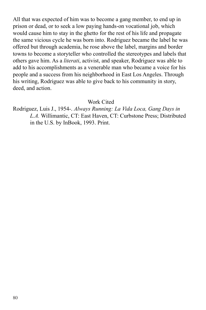All that was expected of him was to become a gang member, to end up in prison or dead, or to seek a low paying hands-on vocational job, which would cause him to stay in the ghetto for the rest of his life and propagate the same vicious cycle he was born into. Rodriguez became the label he was offered but through academia, he rose above the label, margins and border towns to become a storyteller who controlled the stereotypes and labels that others gave him. As a *literati*, activist, and speaker, Rodriguez was able to add to his accomplishments as a venerable man who became a voice for his people and a success from his neighborhood in East Los Angeles. Through his writing, Rodriguez was able to give back to his community in story, deed, and action.

#### Work Cited

Rodriguez, Luis J., 1954-. *Always Running: La Vida Loca, Gang Days in L.A.* Willimantic, CT: East Haven, CT: Curbstone Press; Distributed in the U.S. by InBook, 1993. Print.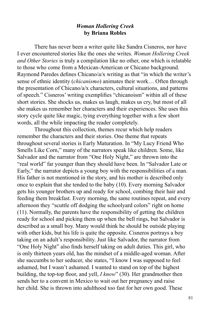## *Woman Hollering Creek* **by Briana Robles**

There has never been a writer quite like Sandra Cisneros, nor have I ever encountered stories like the ones she writes. *Woman Hollering Creek and Other Stories* is truly a compilation like no other, one which is relatable to those who come from a Mexican-American or Chicano background. Raymond Paredes defines Chicano/a/x writing as that "in which the writer's sense of ethnic identity (*chicanismo*) animates their work… Often through the presentation of Chicano/a/x characters, cultural situations, and patterns of speech." Cisneros' writing exemplifies "chicanoism" within all of these short stories. She shocks us, makes us laugh, makes us cry, but most of all she makes us remember her characters and their experiences. She uses this story cycle quite like magic, tying everything together with a few short words, all the while impacting the reader completely.

Throughout this collection, themes recur which help readers remember the characters and their stories. One theme that repeats throughout several stories is Early Maturation. In "My Lucy Friend Who Smells Like Corn," many of the narrators speak like children. Some, like Salvador and the narrator from "One Holy Night," are thrown into the "real world" far younger than they should have been. In "Salvador Late or Early," the narrator depicts a young boy with the responsibilities of a man. His father is not mentioned in the story, and his mother is described only once to explain that she tended to the baby (10). Every morning Salvador gets his younger brothers up and ready for school, combing their hair and feeding them breakfast. Every morning, the same routines repeat, and every afternoon they "scuttle off dodging the schoolyard colors" right on home (11). Normally, the parents have the responsibility of getting the children ready for school and picking them up when the bell rings, but Salvador is described as a small boy. Many would think he should be outside playing with other kids, but his life is quite the opposite. Cisneros portrays a boy taking on an adult's responsibility. Just like Salvador, the narrator from "One Holy Night" also finds herself taking on adult duties. This girl, who is only thirteen years old, has the mindset of a middle-aged woman. After she succumbs to her seducer, she states, "I know I was supposed to feel ashamed, but I wasn't ashamed. I wanted to stand on top of the highest building, the top-top floor, and yell, *I know*" (30). Her grandmother then sends her to a convent in Mexico to wait out her pregnancy and raise her child. She is thrown into adulthood too fast for her own good. These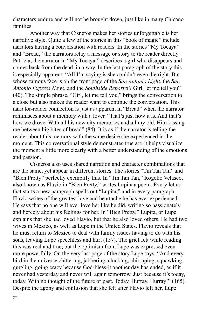characters endure and will not be brought down, just like in many Chicano families.

Another way that Cisneros makes her stories unforgettable is her narrative style. Quite a few of the stories in this "book of magic" include narrators having a conversation with readers. In the stories "My Tocaya" and "Bread," the narrators relay a message or story to the reader directly. Patricia, the narrator in "My Tocaya," describes a girl who disappears and comes back from the dead, in a way. In the last paragraph of the story this is especially apparent: "All I'm saying is she couldn't even die right. But whose famous face is on the front page of the *San Antonio Light*, the *San Antonio Express News*, and the *Southside Reporter*? Girl, let me tell you" (40). The simple phrase, "Girl, let me tell you," brings the conversation to a close but also makes the reader want to continue the conversation. This narrator-reader connection is just as apparent in "Bread" when the narrator reminisces about a memory with a lover. "That's just how it is. And that's how we drove. With all his new city memories and all my old. Him kissing me between big bites of bread" (84). It is as if the narrator is telling the reader about this memory with the same desire she experienced in the moment. This conversational style demonstrates true art; it helps visualize the moment a little more clearly with a better understanding of the emotions and passion.

Cisneros also uses shared narration and character combinations that are the same, yet appear in different stories. The stories "Tin Tan Tan" and "Bien Pretty" perfectly exemplify this. In "Tin Tan Tan," Rogelio Velasco, also known as Flavio in "Bien Pretty," writes Lupita a poem. Every letter that starts a new paragraph spells out "Lupita," and in every paragraph Flavio writes of the greatest love and heartache he has ever experienced. He says that no one will ever love her like he did, writing so passionately and fiercely about his feelings for her. In "Bien Pretty," Lupita, or Lupe, explains that she had loved Flavio, but that he also loved others. He had two wives in Mexico, as well as Lupe in the United States. Flavio reveals that he must return to Mexico to deal with family issues having to do with his sons, leaving Lupe speechless and hurt (157). The grief felt while reading this was real and true, but the optimism from Lupe was expressed even more powerfully. On the very last page of the story Lupe says, "And every bird in the universe chittering, jabbering, clucking, chirruping, squawking, gurgling, going crazy because God-bless-it another day has ended, as if it never had yesterday and never will again tomorrow. Just because it's today, today. With no thought of the future or past. Today. Hurray. Hurray!" (165). Despite the agony and confusion that she felt after Flavio left her, Lupe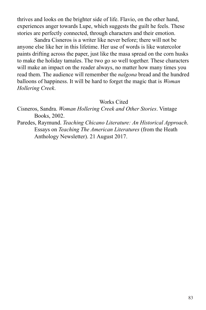thrives and looks on the brighter side of life. Flavio, on the other hand, experiences anger towards Lupe, which suggests the guilt he feels. These stories are perfectly connected, through characters and their emotion.

Sandra Cisneros is a writer like never before; there will not be anyone else like her in this lifetime. Her use of words is like watercolor paints drifting across the paper, just like the masa spread on the corn husks to make the holiday tamales. The two go so well together. These characters will make an impact on the reader always, no matter how many times you read them. The audience will remember the *nalgona* bread and the hundred balloons of happiness. It will be hard to forget the magic that is *Woman Hollering Creek*.

#### Works Cited

Cisneros, Sandra. *Woman Hollering Creek and Other Stories*. Vintage Books, 2002.

Paredes, Raymund. *Teaching Chicano Literature: An Historical Approach*. Essays on *Teaching The American Literatures* (from the Heath Anthology Newsletter). 21 August 2017.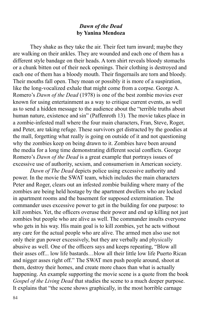## *Dawn of the Dead* **by Yanina Mendoza**

They shake as they take the air. Their feet turn inward; maybe they are walking on their ankles. They are wounded and each one of them has a different style bandage on their heads. A torn shirt reveals bloody stomachs or a chunk bitten out of their neck openings. Their clothing is destroyed and each one of them has a bloody mouth. Their fingernails are torn and bloody. Their mouths fall open. They moan or possibly it is more of a suspiration, like the long-vocalized exhale that might come from a corpse. George A. Romero's *Dawn of the Dead* (1978) is one of the best zombie movies ever known for using entertainment as a way to critique current events, as well as to send a hidden message to the audience about the "terrible truths about human nature, existence and sin" (Paffenroth 13)*.* The movie takes place in a zombie-infested mall where the four main characters, Fran, Steve, Roger, and Peter, are taking refuge. These survivors get distracted by the goodies at the mall, forgetting what really is going on outside of it and not questioning why the zombies keep on being drawn to it. Zombies have been around the media for a long time demonstrating different social conflicts. George Romero's *Dawn of the Dead* is a great example that portrays issues of excessive use of authority, sexism, and consumerism in American society.

*Dawn of The Dead* depicts police using excessive authority and power. In the movie the SWAT team, which includes the main characters Peter and Roger, clears out an infested zombie building where many of the zombies are being held hostage by the apartment dwellers who are locked in apartment rooms and the basement for supposed extermination. The commander uses excessive power to get in the building for one purpose: to kill zombies. Yet, the officers overuse their power and end up killing not just zombies but people who are alive as well. The commander insults everyone who gets in his way. His main goal is to kill zombies, yet he acts without any care for the actual people who are alive. The armed men also use not only their gun power excessively, but they are verbally and physically abusive as well. One of the officers says and keeps repeating, "Blow all their asses off... low life bastards…blow all their little low life Puerto Rican and nigger asses right off." The SWAT men push people around, shoot at them, destroy their homes, and create more chaos than what is actually happening. An example supporting the movie scene is a quote from the book *Gospel of the Living Dead* that studies the scene to a much deeper purpose. It explains that "the scene shows graphically, in the most horrible carnage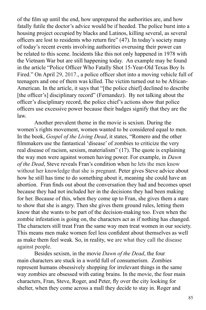of the film up until the end, how unprepared the authorities are, and how fatally futile the doctor's advice would be if heeded. The police burst into a housing project occupied by blacks and Latinos, killing several, as several officers are lost to residents who return fire" (47). In today's society many of today's recent events involving authorities overusing their power can be related to this scene. Incidents like this not only happened in 1978 with the Vietnam War but are still happening today. An example may be found in the article "Police Officer Who Fatally Shot 15-Year-Old Texas Boy Is Fired." On April 29, 2017., a police officer shot into a moving vehicle full of teenagers and one of them was killed. The victim turned out to be African-American. In the article, it says that "[the police chief] declined to describe [the officer's] disciplinary record" (Fernandez). By not talking about the officer's disciplinary record, the police chief's actions show that police officers use excessive power because their badges signify that they are the law.

Another prevalent theme in the movie is sexism. During the women's rights movement, women wanted to be considered equal to men. In the book, *Gospel of the Living Dead*, it states, "Romero and the other filmmakers use the fantastical 'disease' of zombies to criticize the very real disease of racism, sexism, materialism" (17). The quote is explaining the way men were against women having power. For example, in *Dawn of the Dead*, Steve reveals Fran's condition when he lets the men know without her knowledge that she is pregnant. Peter gives Steve advice about how he still has time to do something about it, meaning she could have an abortion. Fran finds out about the conversation they had and becomes upset because they had not included her in the decisions they had been making for her. Because of this, when they come up to Fran, she gives them a stare to show that she is angry. Then she gives them ground rules, letting them know that she wants to be part of the decision-making too. Even when the zombie infestation is going on, the characters act as if nothing has changed. The characters still treat Fran the same way men treat women in our society. This means men make women feel less confident about themselves as well as make them feel weak. So, in reality, we are what they call the disease against people.

Besides sexism, in the movie *Dawn of the Dead*, the four main characters are stuck in a world full of consumerism. Zombies represent humans obsessively shopping for irrelevant things in the same way zombies are obsessed with eating brains. In the movie, the four main characters, Fran, Steve, Roger, and Peter, fly over the city looking for shelter, when they come across a mall they decide to stay in. Roger and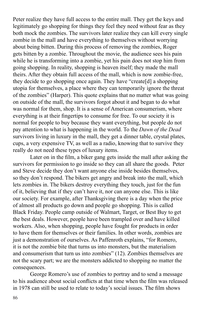Peter realize they have full access to the entire mall. They get the keys and legitimately go shopping for things they feel they need without fear as they both mock the zombies. The survivors later realize they can kill every single zombie in the mall and have everything to themselves without worrying about being bitten. During this process of removing the zombies, Roger gets bitten by a zombie. Throughout the movie, the audience sees his pain while he is transforming into a zombie, yet his pain does not stop him from going shopping. In reality, shopping is heaven itself; they made the mall theirs. After they obtain full access of the mall, which is now zombie-free, they decide to go shopping once again. They have "create[d] a shopping utopia for themselves, a place where they can temporarily ignore the threat of the zombies" (Harper). This quote explains that no matter what was going on outside of the mall, the survivors forgot about it and began to do what was normal for them, shop. It is a sense of American consumerism, where everything is at their fingertips to consume for free. To our society it is normal for people to buy because they want everything, but people do not pay attention to what is happening in the world. To the *Dawn of the Dead* survivors living in luxury in the mall, they get a dinner table, crystal plates, cups, a very expensive TV, as well as a radio, knowing that to survive they really do not need these types of luxury items.

Later on in the film, a biker gang gets inside the mall after asking the survivors for permission to go inside so they can all share the goods. Peter and Steve decide they don't want anyone else inside besides themselves, so they don't respond. The bikers get angry and break into the mall, which lets zombies in. The bikers destroy everything they touch, just for the fun of it, believing that if they can't have it, nor can anyone else. This is like our society. For example, after Thanksgiving there is a day when the price of almost all products go down and people go shopping. This is called Black Friday. People camp outside of Walmart, Target, or Best Buy to get the best deals. However, people have been trampled over and have killed workers. Also, when shopping, people have fought for products in order to have them for themselves or their families. In other words, zombies are just a demonstration of ourselves. As Paffenroth explains, "for Romero, it is not the zombie bite that turns us into monsters, but the materialism and consumerism that turn us into zombies" (12). Zombies themselves are not the scary part; we are the monsters addicted to shopping no matter the consequences.

George Romero's use of zombies to portray and to send a message to his audience about social conflicts at that time when the film was released in 1978 can still be used to relate to today's social issues. The film shows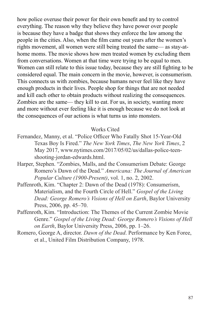how police overuse their power for their own benefit and try to control everything. The reason why they believe they have power over people is because they have a badge that shows they enforce the law among the people in the cities. Also, when the film came out years after the women's rights movement, all women were still being treated the same— as stay-athome moms. The movie shows how men treated women by excluding them from conversations. Women at that time were trying to be equal to men. Women can still relate to this issue today, because they are still fighting to be considered equal. The main concern in the movie, however, is consumerism. This connects us with zombies, because humans never feel like they have enough products in their lives. People shop for things that are not needed and kill each other to obtain products without realizing the consequences. Zombies are the same— they kill to eat. For us, in society, wanting more and more without ever feeling like it is enough because we do not look at the consequences of our actions is what turns us into monsters.

#### Works Cited

- Fernandez, Manny, et al. "Police Officer Who Fatally Shot 15-Year-Old Texas Boy Is Fired." *The New York Times*, *The New York Times*, 2 May 2017, www.nytimes.com/2017/05/02/us/dallas-police-teenshooting-jordan-edwards.html.
- Harper, Stephen. "Zombies, Malls, and the Consumerism Debate: George Romero's Dawn of the Dead." *Americana: The Journal of American Popular Culture (1900-Present)*, vol. 1, no. 2, 2002.
- Paffenroth, Kim. "Chapter 2: Dawn of the Dead (1978): Consumerism, Materialism, and the Fourth Circle of Hell." *Gospel of the Living Dead: George Romero's Visions of Hell on Earth*, Baylor University Press, 2006, pp. 45–70.
- Paffenroth, Kim. "Introduction: The Themes of the Current Zombie Movie Genre." *Gospel of the Living Dead: George Romero's Visions of Hell on Earth*, Baylor University Press, 2006, pp. 1–26.
- Romero, George A, director. *Dawn of the Dead*. Performance by Ken Foree, et al., United Film Distribution Company, 1978.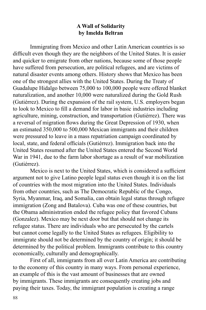## **A Wall of Solidarity by Imelda Beltran**

Immigrating from Mexico and other Latin American countries is so difficult even though they are the neighbors of the United States. It is easier and quicker to emigrate from other nations, because some of those people have suffered from persecution, are political refugees, and are victims of natural disaster events among others. History shows that Mexico has been one of the strongest allies with the United States. During the Treaty of Guadalupe Hidalgo between 75,000 to 100,000 people were offered blanket naturalization, and another 10,000 were naturalized during the Gold Rush (Gutiérrez). During the expansion of the rail system, U.S. employers began to look to Mexico to fill a demand for labor in basic industries including agriculture, mining, construction, and transportation (Gutiérrez). There was a reversal of migration flows during the Great Depression of 1930, when an estimated 350,000 to 500,000 Mexican immigrants and their children were pressured to leave in a mass repatriation campaign coordinated by local, state, and federal officials (Gutiérrez). Immigration back into the United States resumed after the United States entered the Second World War in 1941, due to the farm labor shortage as a result of war mobilization (Gutiérrez).

Mexico is next to the United States, which is considered a sufficient argument not to give Latino people legal status even though it is on the list of countries with the most migration into the United States. Individuals from other countries, such as The Democratic Republic of the Congo, Syria, Myanmar, Iraq, and Somalia, can obtain legal status through refugee immigration (Zong and Batalova). Cuba was one of these countries, but the Obama administration ended the refugee policy that favored Cubans (Gonzalez). Mexico may be next door but that should not change its refugee status. There are individuals who are persecuted by the cartels but cannot come legally to the United States as refugees. Eligibility to immigrate should not be determined by the country of origin; it should be determined by the political problem. Immigrants contribute to this country economically, culturally and demographically.

First of all, immigrants from all over Latin America are contributing to the economy of this country in many ways. From personal experience, an example of this is the vast amount of businesses that are owned by immigrants. These immigrants are consequently creating jobs and paying their taxes. Today, the immigrant population is creating a range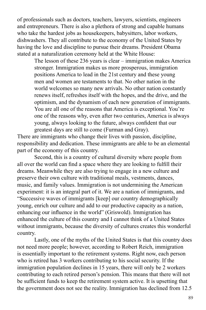of professionals such as doctors, teachers, lawyers, scientists, engineers and entrepreneurs. There is also a plethora of strong and capable humans who take the hardest jobs as housekeepers, babysitters, labor workers, dishwashers. They all contribute to the economy of the United States by having the love and discipline to pursue their dreams. President Obama stated at a naturalization ceremony held at the White House:

> The lesson of these 236 years is clear – immigration makes America stronger. Immigration makes us more prosperous, immigration positions America to lead in the 21st century and these young men and women are testaments to that. No other nation in the world welcomes so many new arrivals. No other nation constantly renews itself, refreshes itself with the hopes, and the drive, and the optimism, and the dynamism of each new generation of immigrants. You are all one of the reasons that America is exceptional. You're one of the reasons why, even after two centuries, America is always young, always looking to the future, always confident that our greatest days are still to come (Furman and Gray).

There are immigrants who change their lives with passion, discipline, responsibility and dedication. These immigrants are able to be an elemental part of the economy of this country.

Second, this is a country of cultural diversity where people from all over the world can find a space where they are looking to fulfill their dreams. Meanwhile they are also trying to engage in a new culture and preserve their own culture with traditional meals, vestments, dances, music, and family values. Immigration is not undermining the American experiment: it is an integral part of it. We are a nation of immigrants, and "Successive waves of immigrants [keep] our country demographically young, enrich our culture and add to our productive capacity as a nation, enhancing our influence in the world" (Griswold). Immigration has enhanced the culture of this country and I cannot think of a United States without immigrants, because the diversity of cultures creates this wonderful country.

Lastly, one of the myths of the United States is that this country does not need more people; however, according to Robert Reich, immigration is essentially important to the retirement systems. Right now, each person who is retired has 3 workers contributing to his social security. If the immigration population declines in 15 years, there will only be 2 workers contributing to each retired person's pension. This means that there will not be sufficient funds to keep the retirement system active. It is upsetting that the government does not see the reality. Immigration has declined from 12.5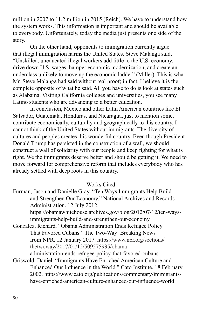million in 2007 to 11.2 million in 2015 (Reich). We have to understand how the system works. This information is important and should be available to everybody. Unfortunately, today the media just presents one side of the story.

On the other hand, opponents to immigration currently argue that illegal immigration harms the United States. Steve Malanga said, "Unskilled, uneducated illegal workers add little to the U.S. economy, drive down U.S. wages, hamper economic modernization, and create an underclass unlikely to move up the economic ladder" (Miller). This is what Mr. Steve Malanga had said without real proof; in fact, I believe it is the complete opposite of what he said. All you have to do is look at states such as Alabama. Visiting California colleges and universities, you see many Latino students who are advancing to a better education.

In conclusion, Mexico and other Latin American countries like El Salvador, Guatemala, Honduras, and Nicaragua, just to mention some, contribute economically, culturally and geographically to this country. I cannot think of the United States without immigrants. The diversity of cultures and peoples creates this wonderful country. Even though President Donald Trump has persisted in the construction of a wall, we should construct a wall of solidarity with our people and keep fighting for what is right. We the immigrants deserve better and should be getting it. We need to move forward for comprehensive reform that includes everybody who has already settled with deep roots in this country.

## Works Cited

Furman, Jason and Danielle Gray. "Ten Ways Immigrants Help Build and Strengthen Our Economy." National Archives and Records Administration. 12 July 2012.

https://obamawhitehouse.archives.gov/blog/2012/07/12/ten-waysimmigrants-help-build-and-strengthen-our-economy.

Gonzalez, Richard. "Obama Administration Ends Refugee Policy That Favored Cubans." The Two-Way: Breaking News from NPR. 12 January 2017. https://www.npr.org/sections/ thetwoway/2017/01/12/509575935/obamaadministration-ends-refugee-policy-that-favored-cubans

Griswold, Daniel. "Immigrants Have Enriched American Culture and Enhanced Our Influence in the World." Cato Institute. 18 February 2002. https://www.cato.org/publications/commentary/immigrantshave-enriched-american-culture-enhanced-our-influence-world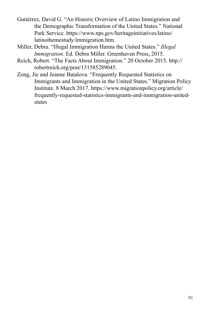- Gutiérrez, David G. "An Historic Overview of Latino Immigration and the Demographic Transformation of the United States." National Park Service. https://www.nps.gov/heritageinitiatives/latino/ latinothemestudy/immigration.htm.
- Miller, Debra. "Illegal Immigration Harms the United States." *Illegal Immigration*. Ed. Debra Miller. Greenhaven Press, 2015.
- Reich, Robert. "The Facts About Immigration." 20 October 2015. http:// robertreich.org/post/131585289045.
- Zong, Jie and Jeanne Batalova. "Frequently Requested Statistics on Immigrants and Immigration in the United States." Migration Policy Institute. 8 March 2017. https://www.migrationpolicy.org/article/ frequently-requested-statistics-immigrants-and-immigration-unitedstates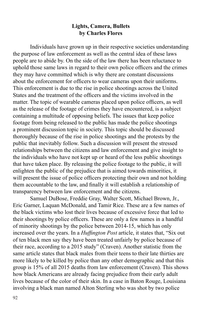## **Lights, Camera, Bullets by Charles Flores**

Individuals have grown up in their respective societies understanding the purpose of law enforcement as well as the central idea of these laws people are to abide by. On the side of the law there has been reluctance to uphold those same laws in regard to their own police officers and the crimes they may have committed which is why there are constant discussions about the enforcement for officers to wear cameras upon their uniforms. This enforcement is due to the rise in police shootings across the United States and the treatment of the officers and the victims involved in the matter. The topic of wearable cameras placed upon police officers, as well as the release of the footage of crimes they have encountered, is a subject containing a multitude of opposing beliefs. The issues that keep police footage from being released to the public has made the police shootings a prominent discussion topic in society. This topic should be discussed thoroughly because of the rise in police shootings and the protests by the public that inevitably follow. Such a discussion will present the stressed relationships between the citizens and law enforcement and give insight to the individuals who have not kept up or heard of the less public shootings that have taken place. By releasing the police footage to the public, it will enlighten the public of the prejudice that is aimed towards minorities, it will present the issue of police officers protecting their own and not holding them accountable to the law, and finally it will establish a relationship of transparency between law enforcement and the citizens.

Samuel DuBose, Freddie Gray, Walter Scott, Michael Brown, Jr., Eric Garner, Laquan McDonald, and Tamir Rice. These are a few names of the black victims who lost their lives because of excessive force that led to their shootings by police officers. These are only a few names in a handful of minority shootings by the police between 2014-15, which has only increased over the years. In a *Huffington Post* article, it states that, "Six out of ten black men say they have been treated unfairly by police because of their race, according to a 2015 study" (Craven). Another statistic from the same article states that black males from their teens to their late thirties are more likely to be killed by police than any other demographic and that this group is 15% of all 2015 deaths from law enforcement (Craven). This shows how black Americans are already facing prejudice from their early adult lives because of the color of their skin. In a case in Baton Rouge, Louisiana involving a black man named Alton Sterling who was shot by two police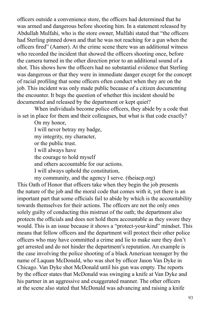officers outside a convenience store, the officers had determined that he was armed and dangerous before shooting him. In a statement released by Abdullah Mulfahi, who is the store owner, Mulfahi stated that "the officers had Sterling pinned down and that he was not reaching for a gun when the officers fired" (Aamer). At the crime scene there was an additional witness who recorded the incident that showed the officers shooting once, before the camera turned in the other direction prior to an additional sound of a shot. This shows how the officers had no substantial evidence that Sterling was dangerous or that they were in immediate danger except for the concept of racial profiling that some officers often conduct when they are on the job. This incident was only made public because of a citizen documenting the encounter. It begs the question of whether this incident should be documented and released by the department or kept quiet?

When individuals become police officers, they abide by a code that is set in place for them and their colleagues, but what is that code exactly?

On my honor, I will never betray my badge, my integrity, my character, or the public trust. I will always have the courage to hold myself and others accountable for our actions. I will always uphold the constitution,

my community, and the agency I serve. (theiacp.org) This Oath of Honor that officers take when they begin the job presents the nature of the job and the moral code that comes with it, yet there is an important part that some officials fail to abide by which is the accountability towards themselves for their actions. The officers are not the only ones solely guilty of conducting this mistrust of the oath; the department also protects the officials and does not hold them accountable as they swore they would. This is an issue because it shows a "protect-your-kind" mindset. This means that fellow officers and the department will protect their other police officers who may have committed a crime and lie to make sure they don't get arrested and do not hinder the department's reputation. An example is the case involving the police shooting of a black American teenager by the name of Laquan McDonald, who was shot by officer Jason Van Dyke in Chicago. Van Dyke shot McDonald until his gun was empty. The reports by the officer states that McDonald was swinging a knife at Van Dyke and his partner in an aggressive and exaggerated manner. The other officers at the scene also stated that McDonald was advancing and raising a knife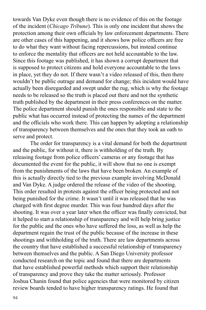towards Van Dyke even though there is no evidence of this on the footage of the incident (*Chicago Tribune*). This is only one incident that shows the protection among their own officials by law enforcement departments. There are other cases of this happening, and it shows how police officers are free to do what they want without facing repercussions, but instead continue to enforce the mentality that officers are not held accountable to the law. Since this footage was published, it has shown a corrupt department that is supposed to protect citizens and hold everyone accountable to the laws in place, yet they do not. If there wasn't a video released of this, then there wouldn't be public outrage and demand for change; this incident would have actually been disregarded and swept under the rug, which is why the footage needs to be released so the truth is placed out there and not the synthetic truth published by the department in their press conferences on the matter. The police department should punish the ones responsible and state to the public what has occurred instead of protecting the names of the department and the officials who work there. This can happen by adopting a relationship of transparency between themselves and the ones that they took an oath to serve and protect.

The order for transparency is a vital demand for both the department and the public, for without it, there is withholding of the truth. By releasing footage from police officers' cameras or any footage that has documented the event for the public, it will show that no one is exempt from the punishments of the laws that have been broken. An example of this is actually directly tied to the previous example involving McDonald and Van Dyke. A judge ordered the release of the video of the shooting. This order resulted in protests against the officer being protected and not being punished for the crime. It wasn't until it was released that he was charged with first degree murder. This was four hundred days after the shooting. It was over a year later when the officer was finally convicted, but it helped to start a relationship of transparency and will help bring justice for the public and the ones who have suffered the loss, as well as help the department regain the trust of the public because of the increase in these shootings and withholding of the truth. There are law departments across the country that have established a successful relationship of transparency between themselves and the public. A San Diego University professor conducted research on the topic and found that there are departments that have established powerful methods which support their relationship of transparency and prove they take the matter seriously. Professor Joshua Chanin found that police agencies that were monitored by citizen review boards tended to have higher transparency ratings. He found that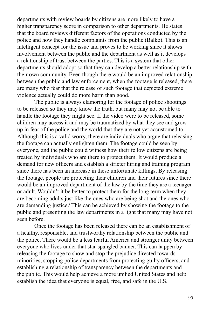departments with review boards by citizens are more likely to have a higher transparency score in comparison to other departments. He states that the board reviews different factors of the operations conducted by the police and how they handle complaints from the public (Balko). This is an intelligent concept for the issue and proves to be working since it shows involvement between the public and the department as well as it develops a relationship of trust between the parties. This is a system that other departments should adopt so that they can develop a better relationship with their own community. Even though there would be an improved relationship between the public and law enforcement, when the footage is released, there are many who fear that the release of such footage that depicted extreme violence actually could do more harm than good.

The public is always clamoring for the footage of police shootings to be released so they may know the truth, but many may not be able to handle the footage they might see. If the video were to be released, some children may access it and may be traumatized by what they see and grow up in fear of the police and the world that they are not yet accustomed to. Although this is a valid worry, there are individuals who argue that releasing the footage can actually enlighten them. The footage could be seen by everyone, and the public could witness how their fellow citizens are being treated by individuals who are there to protect them. It would produce a demand for new officers and establish a stricter hiring and training program since there has been an increase in these unfortunate killings. By releasing the footage, people are protecting their children and their futures since there would be an improved department of the law by the time they are a teenager or adult. Wouldn't it be better to protect them for the long term when they are becoming adults just like the ones who are being shot and the ones who are demanding justice? This can be achieved by showing the footage to the public and presenting the law departments in a light that many may have not seen before.

Once the footage has been released there can be an establishment of a healthy, responsible, and trustworthy relationship between the public and the police. There would be a less fearful America and stronger unity between everyone who lives under that star-spangled banner. This can happen by releasing the footage to show and stop the prejudice directed towards minorities, stopping police departments from protecting guilty officers, and establishing a relationship of transparency between the departments and the public. This would help achieve a more unified United States and help establish the idea that everyone is equal, free, and safe in the U.S.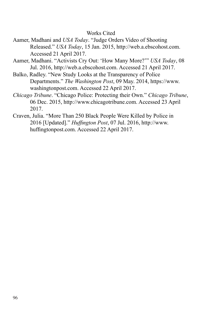### Works Cited

- Aamer, Madhani and *USA Today*. "Judge Orders Video of Shooting Released." *USA Today*, 15 Jan. 2015, http://web.a.ebscohost.com. Accessed 21 April 2017.
- Aamer, Madhani. "Activists Cry Out: 'How Many More?'" *USA Today*, 08 Jul. 2016, http://web.a.ebscohost.com. Accessed 21 April 2017.
- Balko, Radley. "New Study Looks at the Transparency of Police Departments." *The Washington Post*, 09 May. 2014, https://www. washingtonpost.com. Accessed 22 April 2017.
- *Chicago Tribune*. "Chicago Police: Protecting their Own." *Chicago Tribune*, 06 Dec. 2015, http://www.chicagotribune.com. Accessed 23 April 2017.
- Craven, Julia. "More Than 250 Black People Were Killed by Police in 2016 [Updated]." *Huffington Post*, 07 Jul. 2016, http://www. huffingtonpost.com. Accessed 22 April 2017.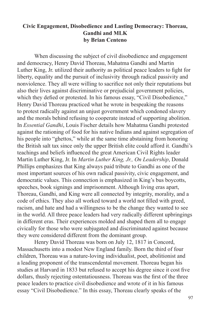## **Civic Engagement, Disobedience and Lasting Democracy: Thoreau, Gandhi and MLK by Brian Centeno**

When discussing the subject of civil disobedience and engagement and democracy, Henry David Thoreau, Mahatma Gandhi and Martin Luther King, Jr. utilized their authority as political peace leaders to fight for liberty, equality and the pursuit of inclusivity through radical passivity and nonviolence. They all were willing to sacrifice not only their reputations but also their lives against discriminative or prejudicial government policies, which they defied or protested. In his famous essay, "Civil Disobedience," Henry David Thoreau practiced what he wrote in bespeaking the reasons to protest radically against an unjust government which condoned slavery and the morals behind refusing to cooperate instead of supporting abolition. In *Essential Gandhi*, Louis Fischer details how Mahatma Gandhi protested against the rationing of food for his native Indians and against segregation of his people into "ghettos," while at the same time abstaining from honoring the British salt tax since only the upper British elite could afford it. Gandhi's teachings and beliefs influenced the great American Civil Rights leader Martin Luther King, Jr. In *Martin Luther King, Jr., On Leadership*, Donald Phillips emphasizes that King always paid tribute to Gandhi as one of the most important sources of his own radical passivity, civic engagement, and democratic values. This connection is emphasized in King's bus boycotts, speeches, book signings and imprisonment. Although living eras apart, Thoreau, Gandhi, and King were all connected by integrity, morality, and a code of ethics. They also all worked toward a world not filled with greed, racism, and hate and had a willingness to be the change they wanted to see in the world. All three peace leaders had very radically different upbringings in different eras. Their experiences molded and shaped them all to engage civically for those who were subjugated and discriminated against because they were considered different from the dominant group.

Henry David Thoreau was born on July 12, 1817 in Concord, Massachusetts into a modest New England family. Born the third of four children, Thoreau was a nature-loving individualist, poet, abolitionist and a leading proponent of the transcendental movement. Thoreau began his studies at Harvard in 1833 but refused to accept his degree since it cost five dollars, thusly rejecting ostentatiousness. Thoreau was the first of the three peace leaders to practice civil disobedience and wrote of it in his famous essay "Civil Disobedience." In this essay, Thoreau clearly speaks of the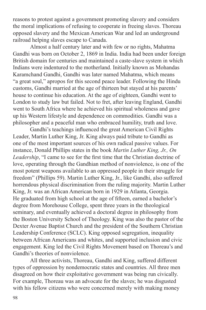reasons to protest against a government promoting slavery and considers the moral implications of refusing to cooperate in freeing slaves. Thoreau opposed slavery and the Mexican American War and led an underground railroad helping slaves escape to Canada.

Almost a half century later and with few or no rights, Mahatma Gandhi was born on October 2, 1869 in India. India had been under foreign British domain for centuries and maintained a caste-slave system in which Indians were indentured to the motherland. Initially known as Mohandas Karamchand Gandhi, Gandhi was later named Mahatma, which means "a great soul," apropos for this second peace leader. Following the Hindu customs, Gandhi married at the age of thirteen but stayed at his parents' house to continue his education. At the age of eighteen, Gandhi went to London to study law but failed. Not to fret, after leaving England, Gandhi went to South Africa where he achieved his spiritual wholeness and gave up his Western lifestyle and dependence on commodities. Gandhi was a philosopher and a peaceful man who embraced humility, truth and love.

Gandhi's teachings influenced the great American Civil Rights Leader, Martin Luther King, Jr. King always paid tribute to Gandhi as one of the most important sources of his own radical passive values. For instance, Donald Phillips states in the book *Martin Luther King, Jr., On Leadership*, "I came to see for the first time that the Christian doctrine of love, operating through the Gandhian method of nonviolence, is one of the most potent weapons available to an oppressed people in their struggle for freedom" (Phillips 59). Martin Luther King, Jr., like Gandhi, also suffered horrendous physical discrimination from the ruling majority. Martin Luther King, Jr. was an African American born in 1929 in Atlanta, Georgia. He graduated from high school at the age of fifteen, earned a bachelor's degree from Morehouse College, spent three years in the theological seminary, and eventually achieved a doctoral degree in philosophy from the Boston University School of Theology. King was also the pastor of the Dexter Avenue Baptist Church and the president of the Southern Christian Leadership Conference (SCLC). King opposed segregation, inequality between African Americans and whites, and supported inclusion and civic engagement. King led the Civil Rights Movement based on Thoreau's and Gandhi's theories of nonviolence.

All three activists, Thoreau, Gandhi and King, suffered different types of oppression by nondemocratic states and countries. All three men disagreed on how their exploitative government was being run civically. For example, Thoreau was an advocate for the slaves; he was disgusted with his fellow citizens who were concerned merely with making money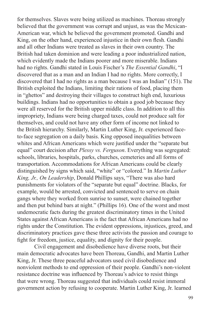for themselves. Slaves were being utilized as machines. Thoreau strongly believed that the government was corrupt and unjust, as was the Mexican-American war, which he believed the government promoted. Gandhi and King, on the other hand, experienced injustice in their own flesh. Gandhi and all other Indians were treated as slaves in their own country. The British had taken dominion and were leading a poor industrialized nation, which evidently made the Indians poorer and more miserable. Indians had no rights. Gandhi stated in Louis Fischer's *The Essential Gandhi*, "I discovered that as a man and an Indian I had no rights. More correctly, I discovered that I had no rights as a man because I was an Indian" (151). The British exploited the Indians, limiting their rations of food, placing them in "ghettos" and destroying their villages to construct high end, luxurious buildings. Indians had no opportunities to obtain a good job because they were all reserved for the British upper middle class. In addition to all this impropriety, Indians were being charged taxes, could not produce salt for themselves, and could not have any other form of income not linked to the British hierarchy. Similarly, Martin Luther King, Jr. experienced faceto-face segregation on a daily basis. King opposed inequalities between whites and African Americans which were justified under the "separate but equal" court decision after *Plessy vs. Ferguson*. Everything was segregated: schools, libraries, hospitals, parks, churches, cemeteries and all forms of transportation. Accommodations for African Americans could be clearly distinguished by signs which said, "white" or "colored." In *Martin Luther King, Jr., On Leadership*, Donald Phillips says, "There was also hard punishments for violators of the "separate but equal" doctrine. Blacks, for example, would be arrested, convicted and sentenced to serve on chain gangs where they worked from sunrise to sunset, were chained together and then put behind bars at night." (Phillips 16). One of the worst and most undemocratic facts during the greatest discriminatory times in the United States against African Americans is the fact that African Americans had no rights under the Constitution. The evident oppressions, injustices, greed, and discriminatory practices gave these three activists the passion and courage to fight for freedom, justice, equality, and dignity for their people.

Civil engagement and disobedience have diverse roots, but their main democratic advocates have been Thoreau, Gandhi, and Martin Luther King, Jr. These three peaceful advocators used civil disobedience and nonviolent methods to end oppression of their people. Gandhi's non-violent resistance doctrine was influenced by Thoreau's advice to resist things that were wrong. Thoreau suggested that individuals could resist immoral government action by refusing to cooperate. Martin Luther King, Jr. learned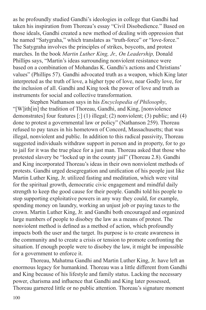as he profoundly studied Gandhi's ideologies in college that Gandhi had taken his inspiration from Thoreau's essay "Civil Disobedience." Based on those ideals, Gandhi created a new method of dealing with oppression that he named "Satygraha," which translates as "truth-force" or "love-force." The Satygraha involves the principles of strikes, boycotts, and protest marches. In the book *Martin Luther King, Jr., On Leadership,* Donald Phillips says, "Martin's ideas surrounding nonviolent resistance were based on a combination of Mohandas K. Gandhi's actions and Christians' values" (Phillips 57). Gandhi advocated truth as a weapon, which King later interpreted as the truth of love, a higher type of love, near Godly love, for the inclusion of all. Gandhi and King took the power of love and truth as instruments for social and collective transformation.

Stephen Nathanson says in his *Encyclopedia of Philosophy*, "[W]ith[in] the tradition of Thoreau, Gandhi, and King, [nonviolence demonstrates] four features  $[:] (1)$  illegal; (2) nonviolent; (3) public; and (4) done to protest a governmental law or policy" (Nathanson 259). Thoreau refused to pay taxes in his hometown of Concord, Massachusetts; that was illegal, nonviolent and public. In addition to this radical passivity, Thoreau suggested individuals withdraw support in person and in property, for to go to jail for it was the true place for a just man. Thoreau asked that those who protested slavery be "locked up in the county jail" (Thoreau 2.8). Gandhi and King incorporated Thoreau's ideas in their own nonviolent methods of protests. Gandhi urged desegregation and unification of his people just like Martin Luther King, Jr. utilized fasting and meditation, which were vital for the spiritual growth, democratic civic engagement and mindful daily strength to keep the good cause for their people. Gandhi told his people to stop supporting exploitative powers in any way they could, for example, spending money on laundry, working an unjust job or paying taxes to the crown. Martin Luther King, Jr. and Gandhi both encouraged and organized large numbers of people to disobey the law as a means of protest. The nonviolent method is defined as a method of action, which profoundly impacts both the user and the target. Its purpose is to create awareness in the community and to create a crisis or tension to promote confronting the situation. If enough people were to disobey the law, it might be impossible for a government to enforce it.

Thoreau, Mahatma Gandhi and Martin Luther King, Jr. have left an enormous legacy for humankind. Thoreau was a little different from Gandhi and King because of his lifestyle and family status. Lacking the necessary power, charisma and influence that Gandhi and King later possessed, Thoreau garnered little or no public attention. Thoreau's signature moment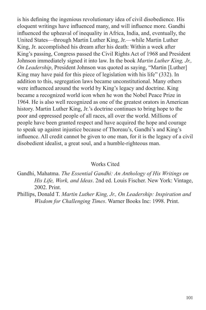is his defining the ingenious revolutionary idea of civil disobedience. His eloquent writings have influenced many, and will influence more. Gandhi influenced the upheaval of inequality in Africa, India, and, eventually, the United States—through Martin Luther King, Jr.—while Martin Luther King, Jr. accomplished his dream after his death: Within a week after King's passing, Congress passed the Civil Rights Act of 1968 and President Johnson immediately signed it into law. In the book *Martin Luther King, Jr., On Leadership*, President Johnson was quoted as saying, "Martin [Luther] King may have paid for this piece of legislation with his life" (332). In addition to this, segregation laws became unconstitutional. Many others were influenced around the world by King's legacy and doctrine. King became a recognized world icon when he won the Nobel Peace Prize in 1964. He is also well recognized as one of the greatest orators in American history. Martin Luther King, Jr.'s doctrine continues to bring hope to the poor and oppressed people of all races, all over the world. Millions of people have been granted respect and have acquired the hope and courage to speak up against injustice because of Thoreau's, Gandhi's and King's influence. All credit cannot be given to one man, for it is the legacy of a civil disobedient idealist, a great soul, and a humble-righteous man.

## Works Cited

Gandhi, Mahatma. *The Essential Gandhi: An Anthology of His Writings on His Life, Work, and Ideas*. 2nd ed. Louis Fischer. New York: Vintage, 2002. Print.

Phillips, Donald T. *Martin Luther King, Jr., On Leadership: Inspiration and Wisdom for Challenging Times*. Warner Books Inc: 1998. Print.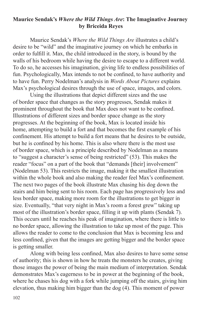## **Maurice Sendak's** *Where the Wild Things Are***: The Imaginative Journey by Briceida Reyes**

Maurice Sendak's *Where the Wild Things Are* illustrates a child's desire to be "wild" and the imaginative journey on which he embarks in order to fulfill it. Max, the child introduced in the story, is bound by the walls of his bedroom while having the desire to escape to a different world. To do so, he accesses his imagination, giving life to endless possibilities of fun. Psychologically, Max intends to not be confined, to have authority and to have fun. Perry Nodelman's analysis in *Words About Pictures* explains Max's psychological desires through the use of space, images, and colors.

Using the illustrations that depict different sizes and the use of border space that changes as the story progresses, Sendak makes it prominent throughout the book that Max does not want to be confined. Illustrations of different sizes and border space change as the story progresses. At the beginning of the book, Max is located inside his home, attempting to build a fort and that becomes the first example of his confinement. His attempt to build a fort means that he desires to be outside, but he is confined by his home. This is also where there is the most use of border space, which is a principle described by Nodelman as a means to "suggest a character's sense of being restricted" (53). This makes the reader "focus" on a part of the book that "demands [their] involvement" (Nodelman 53). This restricts the image, making it the smallest illustration within the whole book and also making the reader feel Max's confinement. The next two pages of the book illustrate Max chasing his dog down the stairs and him being sent to his room. Each page has progressively less and less border space, making more room for the illustrations to get bigger in size. Eventually, "that very night in Max's room a forest grew" taking up most of the illustration's border space, filling it up with plants (Sendak 7). This occurs until he reaches his peak of imagination, where there is little to no border space, allowing the illustration to take up most of the page. This allows the reader to come to the conclusion that Max is becoming less and less confined, given that the images are getting bigger and the border space is getting smaller.

Along with being less confined, Max also desires to have some sense of authority; this is shown in how he treats the monsters he creates, giving those images the power of being the main medium of interpretation. Sendak demonstrates Max's eagerness to be in power at the beginning of the book, where he chases his dog with a fork while jumping off the stairs, giving him elevation, thus making him bigger than the dog (4). This moment of power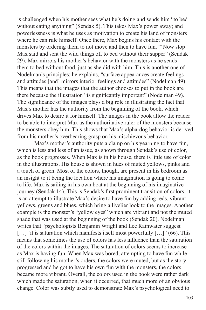is challenged when his mother sees what he's doing and sends him "to bed without eating anything" (Sendak 5). This takes Max's power away; and powerlessness is what he uses as motivation to create his land of monsters where he can rule himself. Once there, Max begins his contact with the monsters by ordering them to not move and then to have fun. "'Now stop!' Max said and sent the wild things off to bed without their supper" (Sendak 29). Max mirrors his mother's behavior with the monsters as he sends them to bed without food, just as she did with him. This is another one of Nodelman's principles; he explains, "surface appearances create feelings and attitudes [and] mirrors interior feelings and attitudes" (Nodelman 49). This means that the images that the author chooses to put in the book are there because the illustration "is significantly important" (Nodelman 49). The significance of the images plays a big role in illustrating the fact that Max's mother has the authority from the beginning of the book, which drives Max to desire it for himself. The images in the book allow the reader to be able to interpret Max as the authoritative ruler of the monsters because the monsters obey him. This shows that Max's alpha-dog behavior is derived from his mother's overbearing grasp on his mischievous behavior.

Max's mother's authority puts a clamp on his yearning to have fun, which is less and less of an issue, as shown through Sendak's use of color, as the book progresses. When Max is in his house, there is little use of color in the illustrations. His house is shown in hues of muted yellows, pinks and a touch of green. Most of the colors, though, are present in his bedroom as an insight to it being the location where his imagination is going to come to life. Max is sailing in his own boat at the beginning of his imaginative journey (Sendak 14). This is Sendak's first prominent transition of colors; it is an attempt to illustrate Max's desire to have fun by adding reds, vibrant yellows, greens and blues, which bring a livelier look to the images. Another example is the monster's "yellow eyes" which are vibrant and not the muted shade that was used at the beginning of the book (Sendak 20). Nodelman writes that "psychologists Benjamin Wright and Lee Rainwater suggest [...] 'it is saturation which manifests itself most powerfully [...]" (66). This means that sometimes the use of colors has less influence than the saturation of the colors within the images. The saturation of colors seems to increase as Max is having fun. When Max was bored, attempting to have fun while still following his mother's orders, the colors were muted, but as the story progressed and he got to have his own fun with the monsters, the colors became more vibrant. Overall, the colors used in the book were rather dark which made the saturation, when it occurred, that much more of an obvious change. Color was subtly used to demonstrate Max's psychological need to